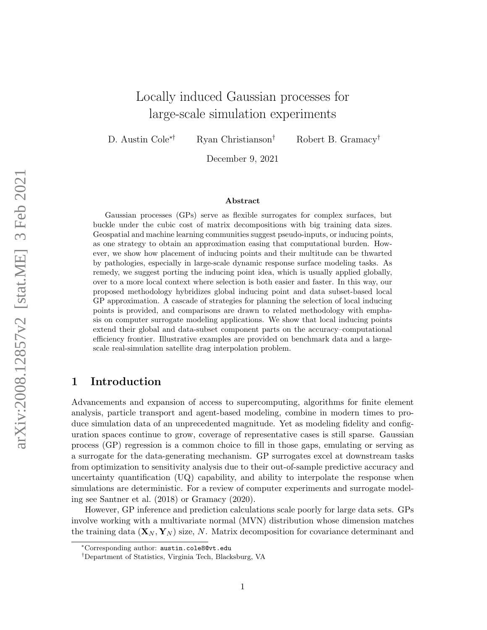# Locally induced Gaussian processes for large-scale simulation experiments

D. Austin Cole∗† Ryan Christianson† Robert B. Gramacy†

December 9, 2021

#### Abstract

Gaussian processes (GPs) serve as flexible surrogates for complex surfaces, but buckle under the cubic cost of matrix decompositions with big training data sizes. Geospatial and machine learning communities suggest pseudo-inputs, or inducing points, as one strategy to obtain an approximation easing that computational burden. However, we show how placement of inducing points and their multitude can be thwarted by pathologies, especially in large-scale dynamic response surface modeling tasks. As remedy, we suggest porting the inducing point idea, which is usually applied globally, over to a more local context where selection is both easier and faster. In this way, our proposed methodology hybridizes global inducing point and data subset-based local GP approximation. A cascade of strategies for planning the selection of local inducing points is provided, and comparisons are drawn to related methodology with emphasis on computer surrogate modeling applications. We show that local inducing points extend their global and data-subset component parts on the accuracy–computational efficiency frontier. Illustrative examples are provided on benchmark data and a largescale real-simulation satellite drag interpolation problem.

# 1 Introduction

Advancements and expansion of access to supercomputing, algorithms for finite element analysis, particle transport and agent-based modeling, combine in modern times to produce simulation data of an unprecedented magnitude. Yet as modeling fidelity and configuration spaces continue to grow, coverage of representative cases is still sparse. Gaussian process (GP) regression is a common choice to fill in those gaps, emulating or serving as a surrogate for the data-generating mechanism. GP surrogates excel at downstream tasks from optimization to sensitivity analysis due to their out-of-sample predictive accuracy and uncertainty quantification (UQ) capability, and ability to interpolate the response when simulations are deterministic. For a review of computer experiments and surrogate modeling see [Santner et al.](#page-26-0) [\(2018\)](#page-26-0) or [Gramacy](#page-24-0) [\(2020\)](#page-24-0).

However, GP inference and prediction calculations scale poorly for large data sets. GPs involve working with a multivariate normal (MVN) distribution whose dimension matches the training data  $(\mathbf{X}_N, \mathbf{Y}_N)$  size, N. Matrix decomposition for covariance determinant and

<sup>∗</sup>Corresponding author: [austin.cole8@vt.edu](mailto:austin.cole8@vt.edu)

<sup>†</sup>Department of Statistics, Virginia Tech, Blacksburg, VA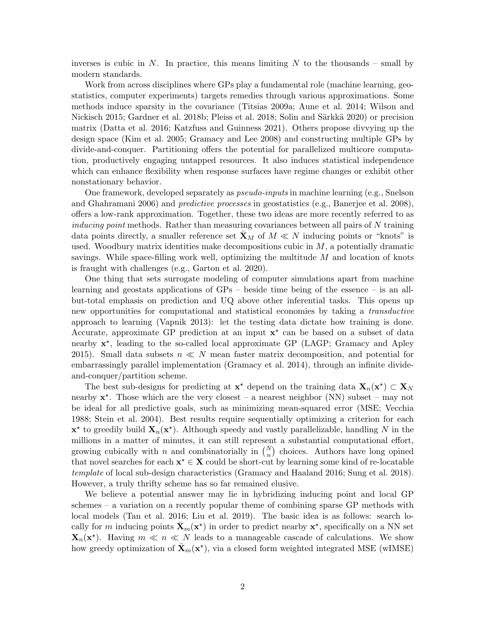inverses is cubic in N. In practice, this means limiting N to the thousands – small by modern standards.

Work from across disciplines where GPs play a fundamental role (machine learning, geostatistics, computer experiments) targets remedies through various approximations. Some methods induce sparsity in the covariance [\(Titsias 2009a;](#page-27-0) [Aune et al. 2014;](#page-22-0) [Wilson and](#page-28-0) [Nickisch 2015;](#page-28-0) [Gardner et al. 2018b;](#page-24-1) [Pleiss et al. 2018;](#page-26-1) Solin and Särkkä 2020) or precision matrix [\(Datta et al. 2016;](#page-23-0) [Katzfuss and Guinness 2021\)](#page-25-0). Others propose divvying up the design space [\(Kim et al. 2005;](#page-25-1) [Gramacy and Lee 2008\)](#page-24-2) and constructing multiple GPs by divide-and-conquer. Partitioning offers the potential for parallelized multicore computation, productively engaging untapped resources. It also induces statistical independence which can enhance flexibility when response surfaces have regime changes or exhibit other nonstationary behavior.

One framework, developed separately as pseudo-inputs in machine learning (e.g., [Snelson](#page-26-3) [and Ghahramani 2006\)](#page-26-3) and predictive processes in geostatistics (e.g., [Banerjee et al. 2008\)](#page-22-1), offers a low-rank approximation. Together, these two ideas are more recently referred to as inducing point methods. Rather than measuring covariances between all pairs of N training data points directly, a smaller reference set  $\mathbf{X}_M$  of  $M \ll N$  inducing points or "knots" is used. Woodbury matrix identities make decompositions cubic in  $M$ , a potentially dramatic savings. While space-filling work well, optimizing the multitude  $M$  and location of knots is fraught with challenges (e.g., [Garton et al. 2020\)](#page-24-3).

One thing that sets surrogate modeling of computer simulations apart from machine learning and geostats applications of GPs – beside time being of the essence – is an allbut-total emphasis on prediction and UQ above other inferential tasks. This opens up new opportunities for computational and statistical economies by taking a transductive approach to learning [\(Vapnik 2013\)](#page-27-1): let the testing data dictate how training is done. Accurate, approximate GP prediction at an input  $x^*$  can be based on a subset of data nearby  $x^*$ , leading to the so-called local approximate GP (LAGP; [Gramacy and Apley](#page-24-4) [2015\)](#page-24-4). Small data subsets  $n \ll N$  mean faster matrix decomposition, and potential for embarrassingly parallel implementation [\(Gramacy et al. 2014\)](#page-24-5), through an infinite divideand-conquer/partition scheme.

The best sub-designs for predicting at  $\mathbf{x}^*$  depend on the training data  $\mathbf{X}_n(\mathbf{x}^*) \subset \mathbf{X}_N$ nearby  $\mathbf{x}^*$ . Those which are the very closest – a nearest neighbor (NN) subset – may not be ideal for all predictive goals, such as minimizing mean-squared error (MSE; [Vecchia](#page-27-2) [1988;](#page-27-2) [Stein et al. 2004\)](#page-26-4). Best results require sequentially optimizing a criterion for each  $\mathbf{x}^*$  to greedily build  $\mathbf{X}_n(\mathbf{x}^*)$ . Although speedy and vastly parallelizable, handling N in the millions in a matter of minutes, it can still represent a substantial computational effort, growing cubically with n and combinatorially in  $\binom{N}{n}$  choices. Authors have long opined that novel searches for each  $x^* \in X$  could be short-cut by learning some kind of re-locatable template of local sub-design characteristics [\(Gramacy and Haaland 2016;](#page-24-6) [Sung et al. 2018\)](#page-27-3). However, a truly thrifty scheme has so far remained elusive.

We believe a potential answer may lie in hybridizing inducing point and local GP schemes – a variation on a recently popular theme of combining sparse GP methods with local models [\(Tan et al. 2016;](#page-27-4) [Liu et al. 2019\)](#page-25-2). The basic idea is as follows: search locally for m inducing points  $\bar{\mathbf{X}}_m(\mathbf{x}^*)$  in order to predict nearby  $\mathbf{x}^*$ , specifically on a NN set  $\mathbf{X}_n(\mathbf{x}^*)$ . Having  $m \ll n \ll N$  leads to a manageable cascade of calculations. We show how greedy optimization of  $\bar{\mathbf{X}}_m(\mathbf{x}^*)$ , via a closed form weighted integrated MSE (wIMSE)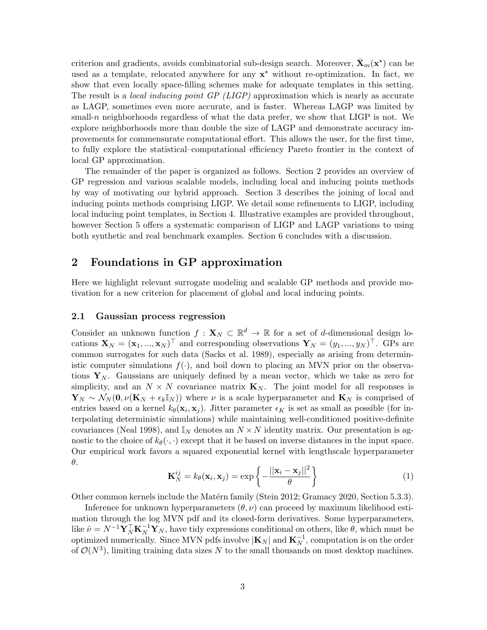criterion and gradients, avoids combinatorial sub-design search. Moreover,  $\bar{\mathbf{X}}_m(\mathbf{x}^*)$  can be used as a template, relocated anywhere for any  $x^*$  without re-optimization. In fact, we show that even locally space-filling schemes make for adequate templates in this setting. The result is a *local inducing point GP (LIGP)* approximation which is nearly as accurate as LAGP, sometimes even more accurate, and is faster. Whereas LAGP was limited by small-n neighborhoods regardless of what the data prefer, we show that LIGP is not. We explore neighborhoods more than double the size of LAGP and demonstrate accuracy improvements for commensurate computational effort. This allows the user, for the first time, to fully explore the statistical–computational efficiency Pareto frontier in the context of local GP approximation.

The remainder of the paper is organized as follows. Section [2](#page-2-0) provides an overview of GP regression and various scalable models, including local and inducing points methods by way of motivating our hybrid approach. Section [3](#page-7-0) describes the joining of local and inducing points methods comprising LIGP. We detail some refinements to LIGP, including local inducing point templates, in Section [4.](#page-12-0) Illustrative examples are provided throughout, however Section [5](#page-16-0) offers a systematic comparison of LIGP and LAGP variations to using both synthetic and real benchmark examples. Section [6](#page-21-0) concludes with a discussion.

### <span id="page-2-0"></span>2 Foundations in GP approximation

Here we highlight relevant surrogate modeling and scalable GP methods and provide motivation for a new criterion for placement of global and local inducing points.

#### 2.1 Gaussian process regression

Consider an unknown function  $f: \mathbf{X}_N \subset \mathbb{R}^d \to \mathbb{R}$  for a set of d-dimensional design locations  $\mathbf{X}_N = (\mathbf{x}_1, ..., \mathbf{x}_N)^\top$  and corresponding observations  $\mathbf{Y}_N = (y_1, ..., y_N)^\top$ . GPs are common surrogates for such data [\(Sacks et al. 1989\)](#page-26-5), especially as arising from deterministic computer simulations  $f(\cdot)$ , and boil down to placing an MVN prior on the observations  $Y_N$ . Gaussians are uniquely defined by a mean vector, which we take as zero for simplicity, and an  $N \times N$  covariance matrix  $\mathbf{K}_N$ . The joint model for all responses is  $\mathbf{Y}_N \sim \mathcal{N}_N(\mathbf{0}, \nu(\mathbf{K}_N + \epsilon_k \mathbb{I}_N))$  where  $\nu$  is a scale hyperparameter and  $\mathbf{K}_N$  is comprised of entries based on a kernel  $k_{\theta}(\mathbf{x}_i, \mathbf{x}_j)$ . Jitter parameter  $\epsilon_K$  is set as small as possible (for interpolating deterministic simulations) while maintaining well-conditioned positive-definite covariances [\(Neal 1998\)](#page-25-3), and  $\mathbb{I}_N$  denotes an  $N \times N$  identity matrix. Our presentation is agnostic to the choice of  $k_{\theta}(\cdot, \cdot)$  except that it be based on inverse distances in the input space. Our empirical work favors a squared exponential kernel with lengthscale hyperparameter θ.

<span id="page-2-1"></span>
$$
\mathbf{K}_N^{ij} = k_\theta(\mathbf{x}_i, \mathbf{x}_j) = \exp\left\{-\frac{||\mathbf{x}_i - \mathbf{x}_j||^2}{\theta}\right\}
$$
(1)

Other common kernels include the Matérn family [\(Stein 2012;](#page-27-5) [Gramacy 2020,](#page-24-0) Section 5.3.3).

Inference for unknown hyperparameters  $(\theta, \nu)$  can proceed by maximum likelihood estimation through the log MVN pdf and its closed-form derivatives. Some hyperparameters, like  $\hat{\nu} = N^{-1} \mathbf{Y}_N^{\top} \mathbf{K}_N^{-1} \mathbf{Y}_N$ , have tidy expressions conditional on others, like  $\theta$ , which must be optimized numerically. Since MVN pdfs involve  $|\mathbf{K}_N|$  and  $\mathbf{K}_N^{-1}$ , computation is on the order of  $\mathcal{O}(N^3)$ , limiting training data sizes N to the small thousands on most desktop machines.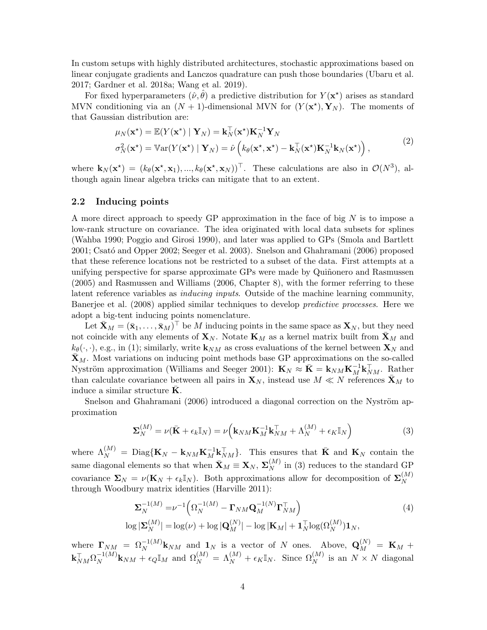In custom setups with highly distributed architectures, stochastic approximations based on linear conjugate gradients and Lanczos quadrature can push those boundaries [\(Ubaru et al.](#page-27-6) [2017;](#page-27-6) [Gardner et al. 2018a;](#page-23-1) [Wang et al. 2019\)](#page-27-7).

For fixed hyperparameters  $(\tilde{\nu}, \hat{\theta})$  a predictive distribution for  $Y(\mathbf{x}^*)$  arises as standard MVN conditioning via an  $(N + 1)$ -dimensional MVN for  $(Y(\mathbf{x}^*), \mathbf{Y}_N)$ . The moments of that Gaussian distribution are:

<span id="page-3-1"></span>
$$
\mu_N(\mathbf{x}^*) = \mathbb{E}(Y(\mathbf{x}^*) \mid \mathbf{Y}_N) = \mathbf{k}_N^{\top}(\mathbf{x}^*) \mathbf{K}_N^{-1} \mathbf{Y}_N \n\sigma_N^2(\mathbf{x}^*) = \mathbb{V}\text{ar}(Y(\mathbf{x}^*) \mid \mathbf{Y}_N) = \hat{\nu} \left( k_\theta(\mathbf{x}^*, \mathbf{x}^*) - \mathbf{k}_N^{\top}(\mathbf{x}^*) \mathbf{K}_N^{-1} \mathbf{k}_N(\mathbf{x}^*) \right),
$$
\n(2)

where  $\mathbf{k}_N(\mathbf{x}^*) = (k_\theta(\mathbf{x}^*, \mathbf{x}_1), ..., k_\theta(\mathbf{x}^*, \mathbf{x}_N))^{\top}$ . These calculations are also in  $\mathcal{O}(N^3)$ , although again linear algebra tricks can mitigate that to an extent.

#### 2.2 Inducing points

A more direct approach to speedy GP approximation in the face of big  $N$  is to impose a low-rank structure on covariance. The idea originated with local data subsets for splines [\(Wahba 1990;](#page-27-8) [Poggio and Girosi 1990\)](#page-26-6), and later was applied to GPs [\(Smola and Bartlett](#page-26-7) [2001;](#page-26-7) Csató and Opper 2002; [Seeger et al. 2003\)](#page-26-8). [Snelson and Ghahramani](#page-26-3) [\(2006\)](#page-26-3) proposed that these reference locations not be restricted to a subset of the data. First attempts at a unifying perspective for sparse approximate GPs were made by Quiñonero and Rasmussen [\(2005\)](#page-26-9) and [Rasmussen and Williams](#page-26-10) [\(2006,](#page-26-10) Chapter 8), with the former referring to these latent reference variables as inducing inputs. Outside of the machine learning community, [Banerjee et al.](#page-22-1) [\(2008\)](#page-22-1) applied similar techniques to develop predictive processes. Here we adopt a big-tent inducing points nomenclature.

Let  $\bar{\mathbf{X}}_M = (\bar{\mathbf{x}}_1, \dots, \bar{\mathbf{x}}_M)^\top$  be M inducing points in the same space as  $\mathbf{X}_N$ , but they need not coincide with any elements of  $\mathbf{X}_N$ . Notate  $\mathbf{K}_M$  as a kernel matrix built from  $\bar{\mathbf{X}}_M$  and  $k_{\theta}(\cdot, \cdot)$ , e.g., in [\(1\)](#page-2-1); similarly, write  $\mathbf{k}_{NM}$  as cross evaluations of the kernel between  $\mathbf{X}_N$  and  $\bar{\mathbf{X}}_M$ . Most variations on inducing point methods base GP approximations on the so-called Nyström approximation [\(Williams and Seeger 2001\)](#page-28-1):  $\mathbf{K}_N \approx \bar{\mathbf{K}} = \mathbf{k}_{NM} \mathbf{K}_M^{-1} \mathbf{k}_{NM}^{\top}$ . Rather than calculate covariance between all pairs in  $\mathbf{X}_N$ , instead use  $M \ll N$  references  $\bar{\mathbf{X}}_M$  to induce a similar structure  $K$ .

[Snelson and Ghahramani](#page-26-3) [\(2006\)](#page-26-3) introduced a diagonal correction on the Nyström approximation

<span id="page-3-0"></span>
$$
\Sigma_N^{(M)} = \nu(\bar{\mathbf{K}} + \epsilon_k \mathbb{I}_N) = \nu \Big( \mathbf{k}_{NM} \mathbf{K}_M^{-1} \mathbf{k}_{NM}^\top + \Lambda_N^{(M)} + \epsilon_K \mathbb{I}_N \Big) \tag{3}
$$

where  $\Lambda_N^{(M)} = \text{Diag}\{\mathbf{K}_N - \mathbf{k}_{NM}\mathbf{K}_M^{-1}\mathbf{k}_{NM}^{\top}\}\$ . This ensures that  $\bar{\mathbf{K}}$  and  $\mathbf{K}_N$  contain the same diagonal elements so that when  $\bar{\mathbf{X}}_M \equiv \mathbf{X}_N, \, \boldsymbol{\Sigma}_N^{(M)}$  $_N^{(M)}$  in [\(3\)](#page-3-0) reduces to the standard GP covariance  $\Sigma_N = \nu(\mathbf{K}_N + \epsilon_k \mathbb{I}_N)$ . Both approximations allow for decomposition of  $\Sigma_N^{(M)}$ N through Woodbury matrix identities [\(Harville 2011\)](#page-24-7):

<span id="page-3-2"></span>
$$
\Sigma_N^{-1(M)} = \nu^{-1} \left( \Omega_N^{-1(M)} - \mathbf{\Gamma}_{NM} \mathbf{Q}_M^{-1(N)} \mathbf{\Gamma}_{NM}^\top \right)
$$
  
\n
$$
\log |\mathbf{\Sigma}_N^{(M)}| = \log(\nu) + \log |\mathbf{Q}_M^{(N)}| - \log |\mathbf{K}_M| + \mathbf{1}_N^\top \log(\Omega_N^{(M)}) \mathbf{1}_N,
$$
\n(4)

where  $\mathbf{\Gamma}_{NM} = \Omega_N^{-1(M)} \mathbf{k}_{NM}$  and  $\mathbf{1}_N$  is a vector of N ones. Above,  $\mathbf{Q}_M^{(N)} = \mathbf{K}_M +$  $\mathbf{k}_{NM}^\top \Omega_N^{-1(M)}$  $N_N^{-1(M)}$ **k** $_{NM}$  +  $\epsilon_Q \mathbb{I}_M$  and  $\Omega_N^{(M)} = \Lambda_N^{(M)} + \epsilon_K \mathbb{I}_N$ . Since  $\Omega_N^{(M)}$  is an  $N \times N$  diagonal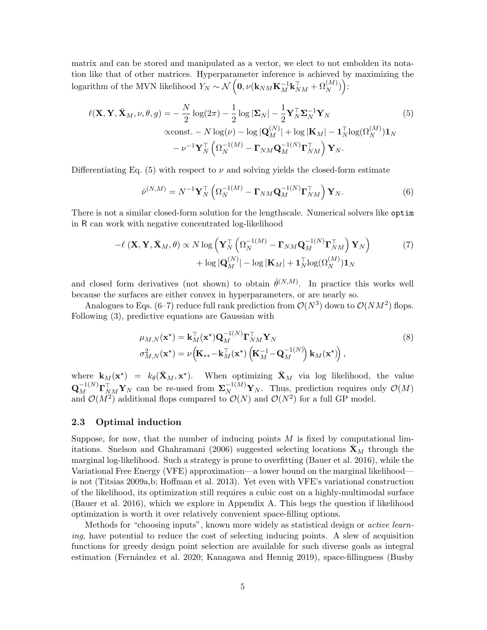matrix and can be stored and manipulated as a vector, we elect to not embolden its notation like that of other matrices. Hyperparameter inference is achieved by maximizing the logarithm of the MVN likelihood  $Y_N \sim \mathcal{N}\left(\mathbf{0}, \nu(\mathbf{k}_{NM}\mathbf{K}_M^{-1}\mathbf{k}_{NM}^\top + \Omega_N^{(M)})\right)$ :

$$
\ell(\mathbf{X}, \mathbf{Y}, \bar{\mathbf{X}}_M, \nu, \theta, g) = -\frac{N}{2} \log(2\pi) - \frac{1}{2} \log |\mathbf{\Sigma}_N| - \frac{1}{2} \mathbf{Y}_N^\top \mathbf{\Sigma}_N^{-1} \mathbf{Y}_N
$$
(5)  
 
$$
\alpha \text{const.} - N \log(\nu) - \log |\mathbf{Q}_M^{(N)}| + \log |\mathbf{K}_M| - \mathbf{1}_N^\top \log(\Omega_N^{(M)}) \mathbf{1}_N
$$

$$
- \nu^{-1} \mathbf{Y}_N^\top \left( \Omega_N^{-1(M)} - \mathbf{\Gamma}_{NM} \mathbf{Q}_M^{-1(N)} \mathbf{\Gamma}_{NM}^\top \right) \mathbf{Y}_N.
$$

Differentiating Eq. [\(5\)](#page-4-0) with respect to  $\nu$  and solving yields the closed-form estimate

<span id="page-4-2"></span><span id="page-4-1"></span><span id="page-4-0"></span>
$$
\hat{\nu}^{(N,M)} = N^{-1} \mathbf{Y}_N^\top \left( \Omega_N^{-1(M)} - \mathbf{\Gamma}_{NM} \mathbf{Q}_M^{-1(N)} \mathbf{\Gamma}_{NM}^\top \right) \mathbf{Y}_N. \tag{6}
$$

There is not a similar closed-form solution for the lengthscale. Numerical solvers like optim in R can work with negative concentrated log-likelihood

$$
-\ell (\mathbf{X}, \mathbf{Y}, \bar{\mathbf{X}}_M, \theta) \propto N \log \left( \mathbf{Y}_N^{\top} \left( \Omega_N^{-1(M)} - \mathbf{\Gamma}_{NM} \mathbf{Q}_M^{-1(N)} \mathbf{\Gamma}_{NM}^{\top} \right) \mathbf{Y}_N \right) + \log |\mathbf{Q}_M^{(N)}| - \log |\mathbf{K}_M| + \mathbf{1}_N^{\top} \log(\Omega_N^{(M)}) \mathbf{1}_N
$$
\n(7)

and closed form derivatives (not shown) to obtain  $\hat{\theta}^{(N,M)}$ . In practice this works well because the surfaces are either convex in hyperparameters, or are nearly so.

Analogues to Eqs. [\(6–](#page-4-1)[7\)](#page-4-2) reduce full rank prediction from  $\mathcal{O}(N^3)$  down to  $\mathcal{O}(NM^2)$  flops. Following [\(3\)](#page-3-0), predictive equations are Gaussian with

<span id="page-4-3"></span>
$$
\mu_{M,N}(\mathbf{x}^*) = \mathbf{k}_M^\top(\mathbf{x}^*) \mathbf{Q}_M^{-1(N)} \mathbf{\Gamma}_{NM}^\top \mathbf{Y}_N
$$
\n
$$
\sigma_{M,N}^2(\mathbf{x}^*) = \nu \left( \mathbf{K}_{**} - \mathbf{k}_M^\top(\mathbf{x}^*) \left( \mathbf{K}_M^{-1} - \mathbf{Q}_M^{-1(N)} \right) \mathbf{k}_M(\mathbf{x}^*) \right),
$$
\n(8)

where  $\mathbf{k}_M(\mathbf{x}^*) = k_\theta(\bar{\mathbf{X}}_M, \mathbf{x}^*)$ . When optimizing  $\bar{\mathbf{X}}_M$  via log likelihood, the value  $\mathbf{Q}_M^{-1(N)}\mathbf{\Gamma}_{NM}^\top \mathbf{Y}_N$  can be re-used from  $\mathbf{\Sigma}_N^{-1(M)}\mathbf{Y}_N$ . Thus, prediction requires only  $\mathcal{O}(M)$ and  $\mathcal{O}(M^2)$  additional flops compared to  $\mathcal{O}(N)$  and  $\mathcal{O}(N^2)$  for a full GP model.

#### <span id="page-4-4"></span>2.3 Optimal induction

Suppose, for now, that the number of inducing points  $M$  is fixed by computational lim-itations. [Snelson and Ghahramani](#page-26-3) [\(2006\)](#page-26-3) suggested selecting locations  $\mathbf{X}_M$  through the marginal log-likelihood. Such a strategy is prone to overfitting [\(Bauer et al. 2016\)](#page-23-3), while the Variational Free Energy (VFE) approximation—a lower bound on the marginal likelihood is not [\(Titsias 2009a](#page-27-0)[,b;](#page-27-9) [Hoffman et al. 2013\)](#page-25-4). Yet even with VFE's variational construction of the likelihood, its optimization still requires a cubic cost on a highly-multimodal surface [\(Bauer et al. 2016\)](#page-23-3), which we explore in Appendix [A.](#page-28-2) This begs the question if likelihood optimization is worth it over relatively convenient space-filling options.

Methods for "choosing inputs", known more widely as statistical design or active learning, have potential to reduce the cost of selecting inducing points. A slew of acquisition functions for greedy design point selection are available for such diverse goals as integral estimation (Fernández et al. 2020; [Kanagawa and Hennig 2019\)](#page-25-5), space-fillingness [\(Busby](#page-23-5)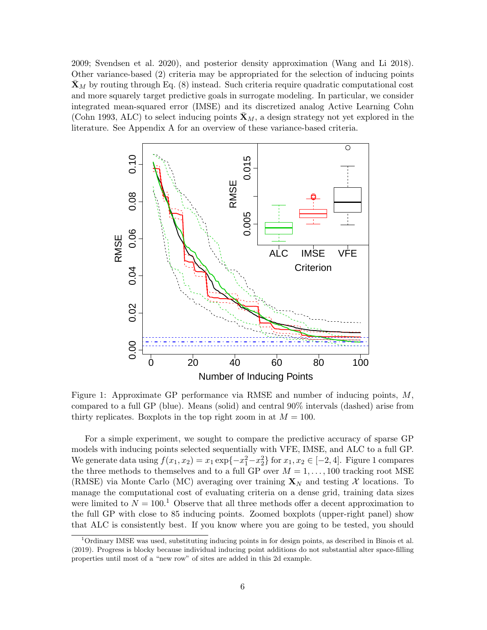[2009;](#page-23-5) [Svendsen et al. 2020\)](#page-27-10), and posterior density approximation [\(Wang and Li 2018\)](#page-27-11). Other variance-based [\(2\)](#page-3-1) criteria may be appropriated for the selection of inducing points  $\bar{\mathbf{X}}_M$  by routing through Eq. [\(8\)](#page-4-3) instead. Such criteria require quadratic computational cost and more squarely target predictive goals in surrogate modeling. In particular, we consider integrated mean-squared error (IMSE) and its discretized analog Active Learning Cohn [\(Cohn 1993,](#page-23-6) ALC) to select inducing points  $\bar{\mathbf{X}}_M$ , a design strategy not yet explored in the literature. See [A](#page-28-2)ppendix A for an overview of these variance-based criteria.

<span id="page-5-0"></span>

Figure 1: Approximate GP performance via RMSE and number of inducing points, M, compared to a full GP (blue). Means (solid) and central 90% intervals (dashed) arise from thirty replicates. Boxplots in the top right zoom in at  $M = 100$ .

For a simple experiment, we sought to compare the predictive accuracy of sparse GP models with inducing points selected sequentially with VFE, IMSE, and ALC to a full GP. We generate data using  $f(x_1, x_2) = x_1 \exp\{-x_1^2 - x_2^2\}$  for  $x_1, x_2 \in [-2, 4]$ . Figure [1](#page-5-0) compares the three methods to themselves and to a full GP over  $M = 1, \ldots, 100$  tracking root MSE (RMSE) via Monte Carlo (MC) averaging over training  $\mathbf{X}_N$  and testing X locations. To manage the computational cost of evaluating criteria on a dense grid, training data sizes were limited to  $N = 100$  $N = 100$  $N = 100$ .<sup>1</sup> Observe that all three methods offer a decent approximation to the full GP with close to 85 inducing points. Zoomed boxplots (upper-right panel) show that ALC is consistently best. If you know where you are going to be tested, you should

<span id="page-5-1"></span><sup>1</sup>Ordinary IMSE was used, substituting inducing points in for design points, as described in [Binois et al.](#page-23-7) [\(2019\)](#page-23-7). Progress is blocky because individual inducing point additions do not substantial alter space-filling properties until most of a "new row" of sites are added in this 2d example.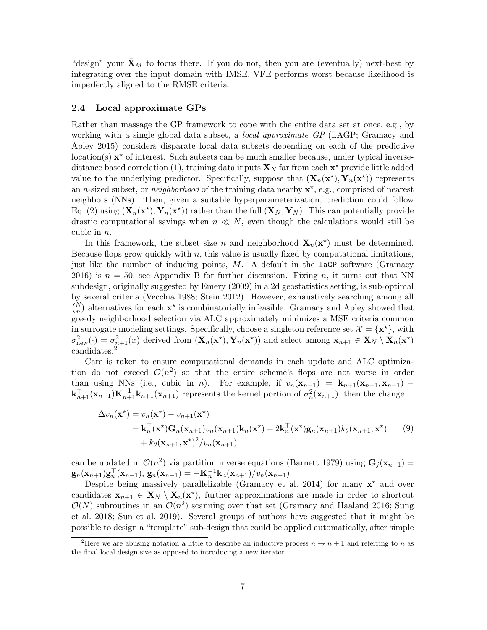"design" your  $\mathbf{X}_M$  to focus there. If you do not, then you are (eventually) next-best by integrating over the input domain with IMSE. VFE performs worst because likelihood is imperfectly aligned to the RMSE criteria.

#### 2.4 Local approximate GPs

Rather than massage the GP framework to cope with the entire data set at once, e.g., by working with a single global data subset, a *local approximate GP* (LAGP; [Gramacy and](#page-24-4) [Apley 2015\)](#page-24-4) considers disparate local data subsets depending on each of the predictive  $location(s)$   $\mathbf{x}^*$  of interest. Such subsets can be much smaller because, under typical inverse-distance based correlation [\(1\)](#page-2-1), training data inputs  $\mathbf{X}_N$  far from each  $\mathbf{x}^*$  provide little added value to the underlying predictor. Specifically, suppose that  $(\mathbf{X}_n(\mathbf{x}^{\star}), \mathbf{Y}_n(\mathbf{x}^{\star}))$  represents an *n*-sized subset, or *neighborhood* of the training data nearby  $\mathbf{x}^*$ , e.g., comprised of nearest neighbors (NNs). Then, given a suitable hyperparameterization, prediction could follow Eq. [\(2\)](#page-3-1) using  $(\mathbf{X}_n(\mathbf{x}^{\star}), \mathbf{Y}_n(\mathbf{x}^{\star}))$  rather than the full  $(\mathbf{X}_N, \mathbf{Y}_N)$ . This can potentially provide drastic computational savings when  $n \ll N$ , even though the calculations would still be cubic in n.

In this framework, the subset size n and neighborhood  $\mathbf{X}_n(\mathbf{x}^*)$  must be determined. Because flops grow quickly with  $n$ , this value is usually fixed by computational limitations, just like the number of inducing points,  $M$ . A default in the **laGP** software [\(Gramacy](#page-24-8) [2016\)](#page-24-8) is  $n = 50$ , see Appendix [B](#page-32-0) for further discussion. Fixing n, it turns out that NN subdesign, originally suggested by [Emery](#page-23-8) [\(2009\)](#page-23-8) in a 2d geostatistics setting, is sub-optimal by several criteria [\(Vecchia 1988;](#page-27-2) [Stein 2012\)](#page-27-5). However, exhaustively searching among all  $\binom{N}{n}$  alternatives for each  $\mathbf{x}^*$  is combinatorially infeasible. [Gramacy and Apley](#page-24-4) showed that greedy neighborhood selection via ALC approximately minimizes a MSE criteria common in surrogate modeling settings. Specifically, choose a singleton reference set  $\mathcal{X} = \{x^*\}$ , with  $\sigma_{\text{new}}^2(\cdot) = \sigma_{n+1}^2(x)$  derived from  $(\mathbf{X}_n(\mathbf{x}^{\star}), \mathbf{Y}_n(\mathbf{x}^{\star}))$  and select among  $\mathbf{x}_{n+1} \in \mathbf{X}_N \setminus \mathbf{X}_n(\mathbf{x}^{\star})$ candidates.<sup>[2](#page-6-0)</sup>

Care is taken to ensure computational demands in each update and ALC optimization do not exceed  $\mathcal{O}(n^2)$  so that the entire scheme's flops are not worse in order than using NNs (i.e., cubic in n). For example, if  $v_n(\mathbf{x}_{n+1}) = \mathbf{k}_{n+1}(\mathbf{x}_{n+1}, \mathbf{x}_{n+1})$  –  $\mathbf{k}_{n+1}^{\top}(\mathbf{x}_{n+1})\mathbf{K}_{n+1}^{-1}(\mathbf{x}_{n+1})$  represents the kernel portion of  $\sigma_n^2(\mathbf{x}_{n+1})$ , then the change

$$
\Delta v_n(\mathbf{x}^*) = v_n(\mathbf{x}^*) - v_{n+1}(\mathbf{x}^*)
$$
  
=  $\mathbf{k}_n^{\top}(\mathbf{x}^*)\mathbf{G}_n(\mathbf{x}_{n+1})v_n(\mathbf{x}_{n+1})\mathbf{k}_n(\mathbf{x}^*) + 2\mathbf{k}_n^{\top}(\mathbf{x}^*)\mathbf{g}_n(\mathbf{x}_{n+1})k_\theta(\mathbf{x}_{n+1},\mathbf{x}^*)$  (9)  
+  $k_\theta(\mathbf{x}_{n+1},\mathbf{x}^*)^2/v_n(\mathbf{x}_{n+1})$ 

can be updated in  $\mathcal{O}(n^2)$  via partition inverse equations [\(Barnett 1979\)](#page-22-2) using  $\mathbf{G}_j(\mathbf{x}_{n+1}) =$  $\mathbf{g}_n(\mathbf{x}_{n+1})\mathbf{g}_n^{\top}(\mathbf{x}_{n+1}), \, \mathbf{g}_n(\mathbf{x}_{n+1}) = -\mathbf{K}_n^{-1}\mathbf{k}_n(\mathbf{x}_{n+1})/v_n(\mathbf{x}_{n+1}).$ 

Despite being massively parallelizable [\(Gramacy et al. 2014\)](#page-24-5) for many  $x^*$  and over candidates  $\mathbf{x}_{n+1} \in \mathbf{X}_N \setminus \mathbf{X}_n(\mathbf{x}^*)$ , further approximations are made in order to shortcut  $\mathcal{O}(N)$  subroutines in an  $\mathcal{O}(n^2)$  scanning over that set [\(Gramacy and Haaland 2016;](#page-24-6) [Sung](#page-27-3) [et al. 2018;](#page-27-3) [Sun et al. 2019\)](#page-27-12). Several groups of authors have suggested that it might be possible to design a "template" sub-design that could be applied automatically, after simple

<span id="page-6-0"></span><sup>&</sup>lt;sup>2</sup>Here we are abusing notation a little to describe an inductive process  $n \to n+1$  and referring to n as the final local design size as opposed to introducing a new iterator.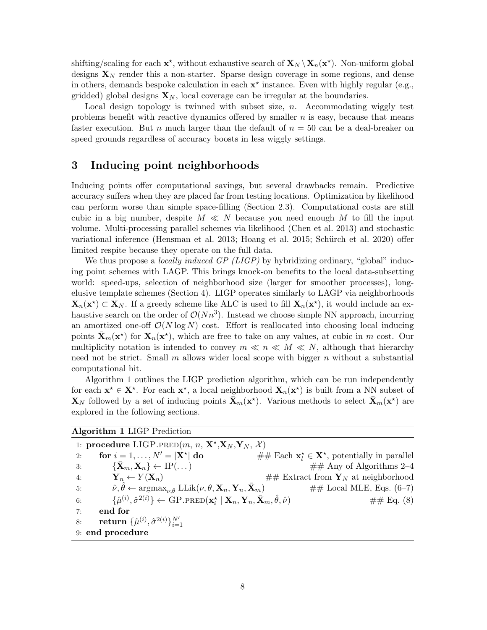shifting/scaling for each  $\mathbf{x}^*$ , without exhaustive search of  $\mathbf{X}_N \setminus \mathbf{X}_n(\mathbf{x}^*)$ . Non-uniform global designs  $\mathbf{X}_N$  render this a non-starter. Sparse design coverage in some regions, and dense in others, demands bespoke calculation in each  $x^*$  instance. Even with highly regular (e.g., gridded) global designs  $\mathbf{X}_N$ , local coverage can be irregular at the boundaries.

Local design topology is twinned with subset size,  $n$ . Accommodating wiggly test problems benefit with reactive dynamics offered by smaller  $n$  is easy, because that means faster execution. But *n* much larger than the default of  $n = 50$  can be a deal-breaker on speed grounds regardless of accuracy boosts in less wiggly settings.

### <span id="page-7-0"></span>3 Inducing point neighborhoods

Inducing points offer computational savings, but several drawbacks remain. Predictive accuracy suffers when they are placed far from testing locations. Optimization by likelihood can perform worse than simple space-filling (Section [2.3\)](#page-4-4). Computational costs are still cubic in a big number, despite  $M \ll N$  because you need enough M to fill the input volume. Multi-processing parallel schemes via likelihood [\(Chen et al. 2013\)](#page-23-9) and stochastic variational inference [\(Hensman et al. 2013;](#page-24-9) [Hoang et al. 2015;](#page-24-10) Schürch et al. 2020) offer limited respite because they operate on the full data.

We thus propose a *locally induced GP (LIGP)* by hybridizing ordinary, "global" inducing point schemes with LAGP. This brings knock-on benefits to the local data-subsetting world: speed-ups, selection of neighborhood size (larger for smoother processes), longelusive template schemes (Section [4\)](#page-12-0). LIGP operates similarly to LAGP via neighborhoods  $\mathbf{X}_n(\mathbf{x}^*) \subset \mathbf{X}_N$ . If a greedy scheme like ALC is used to fill  $\mathbf{X}_n(\mathbf{x}^*)$ , it would include an exhaustive search on the order of  $\mathcal{O}(Nn^3)$ . Instead we choose simple NN approach, incurring an amortized one-off  $\mathcal{O}(N \log N)$  cost. Effort is reallocated into choosing local inducing points  $\bar{\mathbf{X}}_m(\mathbf{x}^*)$  for  $\mathbf{X}_n(\mathbf{x}^*)$ , which are free to take on any values, at cubic in m cost. Our multiplicity notation is intended to convey  $m \ll n \ll N$ , although that hierarchy need not be strict. Small  $m$  allows wider local scope with bigger  $n$  without a substantial computational hit.

Algorithm [1](#page-7-1) outlines the LIGP prediction algorithm, which can be run independently for each  $x^* \in X^*$ . For each  $x^*$ , a local neighborhood  $X_n(x^*)$  is built from a NN subset of  ${\bf X}_N$  followed by a set of inducing points  $\bar{\bf X}_m({\bf x}^*)$ . Various methods to select  $\bar{\bf X}_m({\bf x}^*)$  are explored in the following sections.

<span id="page-7-1"></span>

| <b>Algorithm 1 LIGP Prediction</b>                                                     |                                                                                                                                                                        |                                                   |  |
|----------------------------------------------------------------------------------------|------------------------------------------------------------------------------------------------------------------------------------------------------------------------|---------------------------------------------------|--|
| 1: procedure LIGP.PRED $(m, n, \mathbf{X}^*, \mathbf{X}_N, \mathbf{Y}_N, \mathcal{X})$ |                                                                                                                                                                        |                                                   |  |
| 2:                                                                                     | for $i = 1, \ldots, N' =  X^* $ do                                                                                                                                     | ## Each $x_i^* \in X^*$ , potentially in parallel |  |
| 3:                                                                                     | $\{\bar{\mathbf{X}}_m, \mathbf{X}_n\} \leftarrow \text{IP}(\dots)$                                                                                                     | $\#\#$ Any of Algorithms 2-4                      |  |
| 4:                                                                                     | $\mathbf{Y}_n \leftarrow Y(\mathbf{X}_n)$                                                                                                                              | $\#$ Extract from $\mathbf{Y}_N$ at neighborhood  |  |
| 5:                                                                                     | $\hat{\nu}, \theta \leftarrow \operatorname{argmax}_{\nu, \theta} \mathrm{LLik}(\nu, \theta, \mathbf{X}_n, \mathbf{Y}_n, \mathbf{X}_m)$                                | $\#\#\text{ Local MLE},\text{Eqs. } (6-7)$        |  |
| 6:                                                                                     | $\{\hat{\mu}^{(i)}, \hat{\sigma}^{2(i)}\}\leftarrow \text{GP.PRED}(\mathbf{x}_i^{\star} \mid \mathbf{X}_n, \mathbf{Y}_n, \bar{\mathbf{X}}_m, \hat{\theta}, \hat{\nu})$ | $\# \#$ Eq. (8)                                   |  |
| 7:                                                                                     | end for                                                                                                                                                                |                                                   |  |
| 8:                                                                                     | <b>return</b> $\{\hat{\mu}^{(i)}, \hat{\sigma}^{2(i)}\}_{i=1}^{N'}$                                                                                                    |                                                   |  |
| 9: end procedure                                                                       |                                                                                                                                                                        |                                                   |  |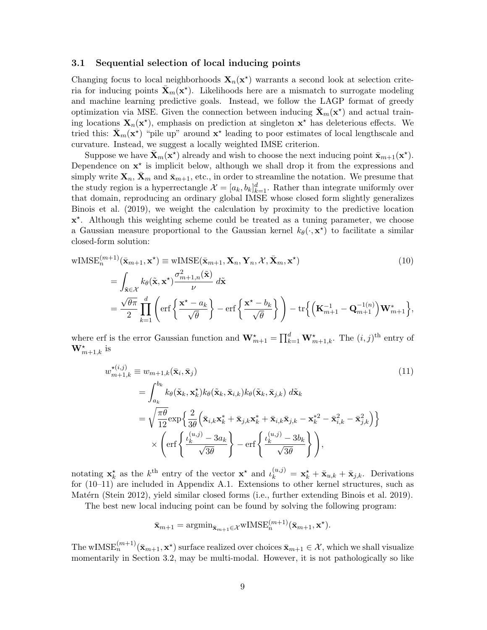#### <span id="page-8-2"></span>3.1 Sequential selection of local inducing points

Changing focus to local neighborhoods  $X_n(x^*)$  warrants a second look at selection criteria for inducing points  $\bar{\mathbf{X}}_m(\mathbf{x}^*)$ . Likelihoods here are a mismatch to surrogate modeling and machine learning predictive goals. Instead, we follow the LAGP format of greedy optimization via MSE. Given the connection between inducing  $\bar{\mathbf{X}}_m(\mathbf{x}^*)$  and actual training locations  $\mathbf{X}_n(\mathbf{x}^*)$ , emphasis on prediction at singleton  $\mathbf{x}^*$  has deleterious effects. We tried this:  $\bar{\mathbf{X}}_m(\mathbf{x}^*)$  "pile up" around  $\mathbf{x}^*$  leading to poor estimates of local lengthscale and curvature. Instead, we suggest a locally weighted IMSE criterion.

Suppose we have  $\bar{\mathbf{X}}_m(\mathbf{x}^*)$  already and wish to choose the next inducing point  $\bar{\mathbf{x}}_{m+1}(\mathbf{x}^*)$ . Dependence on  $x^*$  is implicit below, although we shall drop it from the expressions and simply write  $\mathbf{X}_n$ ,  $\mathbf{X}_m$  and  $\bar{\mathbf{x}}_{m+1}$ , etc., in order to streamline the notation. We presume that the study region is a hyperrectangle  $\mathcal{X} = [a_k, b_k]_{k=1}^d$ . Rather than integrate uniformly over that domain, reproducing an ordinary global IMSE whose closed form slightly generalizes [Binois et al.](#page-23-7) [\(2019\)](#page-23-7), we weight the calculation by proximity to the predictive location  $x^*$ . Although this weighting scheme could be treated as a tuning parameter, we choose a Gaussian measure proportional to the Gaussian kernel  $k_{\theta}(\cdot, \mathbf{x}^{\star})$  to facilitate a similar closed-form solution:

$$
\begin{split} \text{wIMSE}_{n}^{(m+1)}(\bar{\mathbf{x}}_{m+1}, \mathbf{x}^{\star}) & \equiv \text{wIMSE}(\bar{\mathbf{x}}_{m+1}, \mathbf{X}_{n}, \mathbf{Y}_{n}, \mathcal{X}, \bar{\mathbf{X}}_{m}, \mathbf{x}^{\star}) \\ & = \int_{\tilde{\mathbf{x}} \in \mathcal{X}} k_{\theta}(\tilde{\mathbf{x}}, \mathbf{x}^{\star}) \frac{\sigma_{m+1,n}^{2}(\tilde{\mathbf{x}})}{\nu} d\tilde{\mathbf{x}} \\ & = \frac{\sqrt{\theta \pi}}{2} \prod_{k=1}^{d} \left( \text{erf} \left\{ \frac{\mathbf{x}^{\star} - a_{k}}{\sqrt{\theta}} \right\} - \text{erf} \left\{ \frac{\mathbf{x}^{\star} - b_{k}}{\sqrt{\theta}} \right\} \right) - \text{tr} \left\{ \left( \mathbf{K}_{m+1}^{-1} - \mathbf{Q}_{m+1}^{-1(n)} \right) \mathbf{W}_{m+1}^{*} \right\}, \end{split} \tag{10}
$$

where erf is the error Gaussian function and  $\mathbf{W}_{m+1}^{\star} = \prod_{k=1}^{d} \mathbf{W}_{m+1,k}^{\star}$ . The  $(i, j)$ <sup>th</sup> entry of  $\mathbf{W}_{m+1,k}^{\star}$  is

<span id="page-8-0"></span>
$$
w_{m+1,k}^{\star(i,j)} \equiv w_{m+1,k}(\bar{\mathbf{x}}_i, \bar{\mathbf{x}}_j)
$$
\n
$$
= \int_{a_k}^{b_k} k_\theta(\tilde{\mathbf{x}}_k, \mathbf{x}_k^*) k_\theta(\tilde{\mathbf{x}}_k, \bar{\mathbf{x}}_{i,k}) k_\theta(\tilde{\mathbf{x}}_k, \bar{\mathbf{x}}_{j,k}) d\tilde{\mathbf{x}}_k
$$
\n
$$
= \sqrt{\frac{\pi \theta}{12}} \exp\left\{\frac{2}{3\theta} \left(\bar{\mathbf{x}}_{i,k} \mathbf{x}_k^* + \bar{\mathbf{x}}_{j,k} \mathbf{x}_k^* + \bar{\mathbf{x}}_{i,k} \bar{\mathbf{x}}_{j,k} - \mathbf{x}_k^{*2} - \bar{\mathbf{x}}_{i,k}^2 - \bar{\mathbf{x}}_{j,k}^2\right)\right\}
$$
\n
$$
\times \left( \text{erf}\left\{\frac{\iota_k^{(u,j)} - 3a_k}{\sqrt{3\theta}}\right\} - \text{erf}\left\{\frac{\iota_k^{(u,j)} - 3b_k}{\sqrt{3\theta}}\right\} \right),
$$
\n(11)

notating  $\mathbf{x}_k^*$  as the k<sup>th</sup> entry of the vector  $\mathbf{x}^*$  and  $\iota_k^{(u,j)} = \mathbf{x}_k^* + \bar{\mathbf{x}}_{u,k} + \bar{\mathbf{x}}_{j,k}$ . Derivations for [\(10–](#page-8-0)[11\)](#page-8-1) are included in Appendix [A.1.](#page-29-0) Extensions to other kernel structures, such as Matérn [\(Stein 2012\)](#page-27-5), yield similar closed forms (i.e., further extending [Binois et al. 2019\)](#page-23-7).

The best new local inducing point can be found by solving the following program:

<span id="page-8-1"></span>
$$
\bar{\mathbf{x}}_{m+1} = \operatorname{argmin}_{\bar{\mathbf{x}}_{m+1} \in \mathcal{X}} \operatorname{wIMSE}_n^{(m+1)}(\bar{\mathbf{x}}_{m+1}, \mathbf{x}^{\star}).
$$

The wIMS $\mathrm{E}_n^{(m+1)}(\bar{\mathbf{x}}_{m+1}, \mathbf{x}^*)$  surface realized over choices  $\bar{\mathbf{x}}_{m+1} \in \mathcal{X}$ , which we shall visualize momentarily in Section [3.2,](#page-9-0) may be multi-modal. However, it is not pathologically so like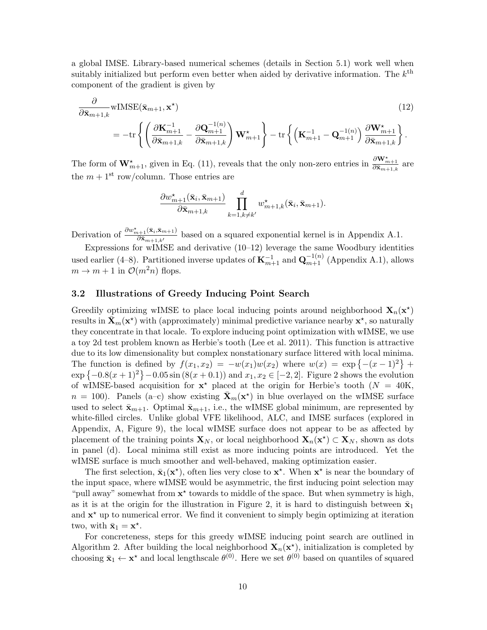a global IMSE. Library-based numerical schemes (details in Section [5.1\)](#page-16-1) work well when suitably initialized but perform even better when aided by derivative information. The  $k^{\text{th}}$ component of the gradient is given by

$$
\frac{\partial}{\partial \bar{\mathbf{x}}_{m+1,k}} \mathbf{w} \text{IMSE}(\bar{\mathbf{x}}_{m+1}, \mathbf{x}^*)\n= -\text{tr}\left\{ \left( \frac{\partial \mathbf{K}_{m+1}^{-1}}{\partial \bar{\mathbf{x}}_{m+1,k}} - \frac{\partial \mathbf{Q}_{m+1}^{-1(n)}}{\partial \bar{\mathbf{x}}_{m+1,k}} \right) \mathbf{W}_{m+1}^* \right\} - \text{tr}\left\{ \left( \mathbf{K}_{m+1}^{-1} - \mathbf{Q}_{m+1}^{-1(n)} \right) \frac{\partial \mathbf{W}_{m+1}^*}{\partial \bar{\mathbf{x}}_{m+1,k}} \right\}.
$$
\n(12)

The form of  $\mathbf{W}_{m+1}^{\star}$ , given in Eq. [\(11\)](#page-8-1), reveals that the only non-zero entries in  $\frac{\partial \mathbf{W}_{m+1}^{\star}}{\partial \bar{\mathbf{x}}_{m+1,k}}$  are the  $m + 1$ <sup>st</sup> row/column. Those entries are

<span id="page-9-1"></span>
$$
\frac{\partial w^{\star}_{m+1}(\bar{\mathbf{x}}_i, \bar{\mathbf{x}}_{m+1})}{\partial \bar{\mathbf{x}}_{m+1,k}} \prod_{k=1, k \neq k'}^{d} w^{\star}_{m+1,k}(\bar{\mathbf{x}}_i, \bar{\mathbf{x}}_{m+1}).
$$

Derivation of  $\frac{\partial w_{m+1}^{\star}(\bar{\mathbf{x}}_i,\bar{\mathbf{x}}_{m+1})}{\partial \bar{\mathbf{x}}_{m+1}}$  $\frac{\partial x_{n+1}(x_i, x_{m+1})}{\partial \bar{x}_{m+1,k'}}$  based on a squared exponential kernel is in Appendix [A.1.](#page-29-0)

Expressions for wIMSE and derivative  $(10-12)$  $(10-12)$  leverage the same Woodbury identities used earlier [\(4](#page-3-2)[–8\)](#page-4-3). Partitioned inverse updates of  $\mathbf{K}_{m+1}^{-1}$  and  $\mathbf{Q}_{m+1}^{-1(n)}$  (Appendix [A.1\)](#page-29-0), allows  $m \to m + 1$  in  $\mathcal{O}(m^2n)$  flops.

#### <span id="page-9-0"></span>3.2 Illustrations of Greedy Inducing Point Search

Greedily optimizing wIMSE to place local inducing points around neighborhood  $\mathbf{X}_n(\mathbf{x}^*)$ results in  $\bar{\mathbf{X}}_m(\mathbf{x}^*)$  with (approximately) minimal predictive variance nearby  $\mathbf{x}^*$ , so naturally they concentrate in that locale. To explore inducing point optimization with wIMSE, we use a toy 2d test problem known as Herbie's tooth [\(Lee et al. 2011\)](#page-25-6). This function is attractive due to its low dimensionality but complex nonstationary surface littered with local minima. The function is defined by  $f(x_1, x_2) = -w(x_1)w(x_2)$  where  $w(x) = \exp\{- (x - 1)^2\}$  +  $\exp\{-0.8(x+1)^2\} - 0.05\sin(8(x+0.1))$  and  $x_1, x_2 \in [-2, 2]$  $x_1, x_2 \in [-2, 2]$  $x_1, x_2 \in [-2, 2]$ . Figure 2 shows the evolution of wIMSE-based acquisition for  $x^*$  placed at the origin for Herbie's tooth ( $N = 40$ K,  $n = 100$ ). Panels (a-c) show existing  $\bar{\mathbf{X}}_m(\mathbf{x}^*)$  in blue overlayed on the wIMSE surface used to select  $\bar{\mathbf{x}}_{m+1}$ . Optimal  $\bar{\mathbf{x}}_{m+1}$ , i.e., the wIMSE global minimum, are represented by white-filled circles. Unlike global VFE likelihood, ALC, and IMSE surfaces (explored in Appendix, [A,](#page-28-2) Figure [9\)](#page-29-1), the local wIMSE surface does not appear to be as affected by placement of the training points  $\mathbf{X}_N$ , or local neighborhood  $\mathbf{X}_n(\mathbf{x}^*) \subset \mathbf{X}_N$ , shown as dots in panel (d). Local minima still exist as more inducing points are introduced. Yet the wIMSE surface is much smoother and well-behaved, making optimization easier.

The first selection,  $\bar{\mathbf{x}}_1(\mathbf{x}^*)$ , often lies very close to  $\mathbf{x}^*$ . When  $\mathbf{x}^*$  is near the boundary of the input space, where wIMSE would be asymmetric, the first inducing point selection may "pull away" somewhat from  $x^*$  towards to middle of the space. But when symmetry is high, as it is at the origin for the illustration in Figure [2,](#page-10-0) it is hard to distinguish between  $\bar{\mathbf{x}}_1$ and  $\mathbf{x}^*$  up to numerical error. We find it convenient to simply begin optimizing at iteration two, with  $\bar{\mathbf{x}}_1 = \mathbf{x}^*$ .

For concreteness, steps for this greedy wIMSE inducing point search are outlined in Algorithm [2.](#page-11-0) After building the local neighborhood  $\mathbf{X}_n(\mathbf{x}^*)$ , initialization is completed by choosing  $\bar{\mathbf{x}}_1 \leftarrow \mathbf{x}^*$  and local lengthscale  $\theta^{(0)}$ . Here we set  $\theta^{(0)}$  based on quantiles of squared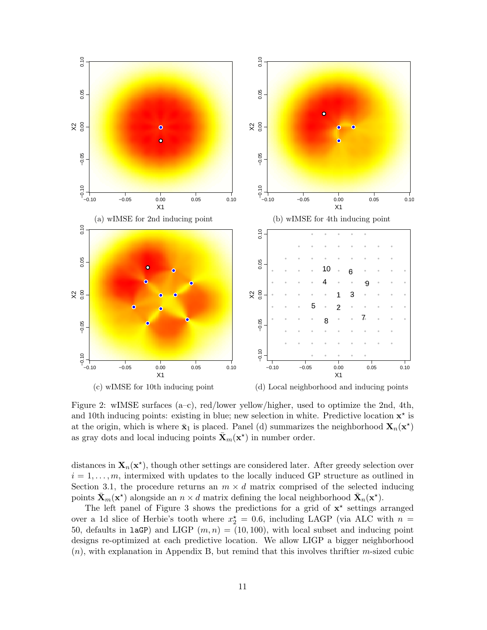<span id="page-10-0"></span>

Figure 2: wIMSE surfaces (a–c), red/lower yellow/higher, used to optimize the 2nd, 4th, and 10th inducing points: existing in blue; new selection in white. Predictive location  $x^*$  is at the origin, which is where  $\bar{\mathbf{x}}_1$  is placed. Panel (d) summarizes the neighborhood  $\mathbf{X}_n(\mathbf{x}^*)$ as gray dots and local inducing points  $\bar{\mathbf{X}}_m(\mathbf{x}^*)$  in number order.

distances in  $X_n(x^*)$ , though other settings are considered later. After greedy selection over  $i = 1, \ldots, m$ , intermixed with updates to the locally induced GP structure as outlined in Section [3.1,](#page-8-2) the procedure returns an  $m \times d$  matrix comprised of the selected inducing points  $\bar{\mathbf{X}}_m(\mathbf{x}^*)$  alongside an  $n \times d$  matrix defining the local neighborhood  $\bar{\mathbf{X}}_n(\mathbf{x}^*)$ .

The left panel of Figure [3](#page-11-1) shows the predictions for a grid of  $x^*$  settings arranged over a 1d slice of Herbie's tooth where  $x_2^* = 0.6$ , including LAGP (via ALC with  $n =$ 50, defaults in laGP) and LIGP  $(m, n) = (10, 100)$ , with local subset and inducing point designs re-optimized at each predictive location. We allow LIGP a bigger neighborhood  $(n)$ , with explanation in Appendix [B,](#page-32-0) but remind that this involves thriftier m-sized cubic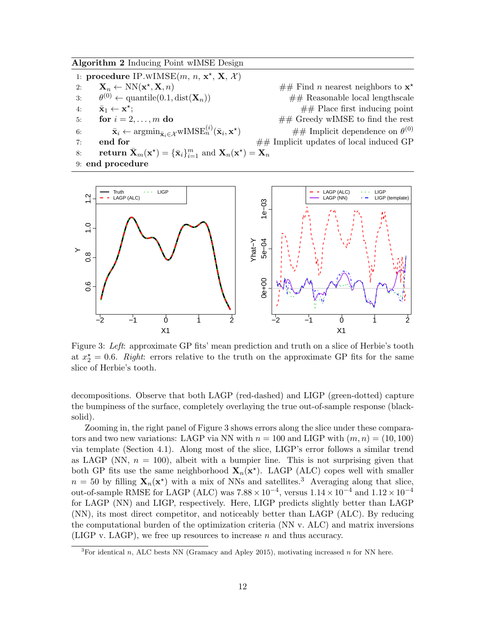<span id="page-11-0"></span>Algorithm 2 Inducing Point wIMSE Design

1: procedure IP.wIMSE $(m, n, \mathbf{x}^*, \mathbf{X}, \mathcal{X})$ 2:  $\mathbf{X}_n \leftarrow \text{NN}(\mathbf{x}^{\star})$  $\mathbf{X}, n$   $\neq$  Find *n* nearest neighbors to  $\mathbf{x}^*$ 3:  $\theta^{(0)} \leftarrow$  quantile(0.1, dist( $\mathbf{X}_n$ ))  $#$  Reasonable local lengthscale 4:  $\bar{\mathbf{x}}_1 \leftarrow \mathbf{x}^{\star}$  $#$  Place first inducing point 5: **for**  $i = 2, ..., m$  **do**  $\qquad \qquad \# \#$  Greedy wIMSE to find the rest 6:  $\bar{\mathbf{x}}_i \leftarrow \operatorname{argmin}_{\bar{\mathbf{x}}_i \in \mathcal{X}} \text{wIMSE}_n^{(i)}(\bar{\mathbf{x}}_i, \mathbf{x}^{\star})$ )  $\# \#$  Implicit dependence on  $\theta^{(0)}$ 7: **end for**  $\# \#$  Implicit updates of local induced GP 8: **return**  $\bar{\mathbf{X}}_m(\mathbf{x}^*) = {\{\bar{\mathbf{x}}_i\}}_{i=1}^m$  and  $\mathbf{X}_n(\mathbf{x}^*) = \mathbf{X}_n$ 9: end procedure

<span id="page-11-1"></span>

Figure 3: Left: approximate GP fits' mean prediction and truth on a slice of Herbie's tooth at  $x_2^* = 0.6$ . Right: errors relative to the truth on the approximate GP fits for the same slice of Herbie's tooth.

decompositions. Observe that both LAGP (red-dashed) and LIGP (green-dotted) capture the bumpiness of the surface, completely overlaying the true out-of-sample response (blacksolid).

Zooming in, the right panel of Figure [3](#page-11-1) shows errors along the slice under these comparators and two new variations: LAGP via NN with  $n = 100$  and LIGP with  $(m, n) = (10, 100)$ via template (Section [4.1\)](#page-12-1). Along most of the slice, LIGP's error follows a similar trend as LAGP (NN,  $n = 100$ ), albeit with a bumpier line. This is not surprising given that both GP fits use the same neighborhood  $X_n(x^*)$ . LAGP (ALC) copes well with smaller  $n = 50$  by filling  $\mathbf{X}_n(\mathbf{x}^*)$  with a mix of NNs and satellites.<sup>[3](#page-11-2)</sup> Averaging along that slice, out-of-sample RMSE for LAGP (ALC) was  $7.88 \times 10^{-4}$ , versus  $1.14 \times 10^{-4}$  and  $1.12 \times 10^{-4}$ for LAGP (NN) and LIGP, respectively. Here, LIGP predicts slightly better than LAGP (NN), its most direct competitor, and noticeably better than LAGP (ALC). By reducing the computational burden of the optimization criteria (NN v. ALC) and matrix inversions (LIGP v. LAGP), we free up resources to increase n and thus accuracy.

<span id="page-11-2"></span><sup>&</sup>lt;sup>3</sup>For identical n, ALC bests NN [\(Gramacy and Apley 2015\)](#page-24-4), motivating increased n for NN here.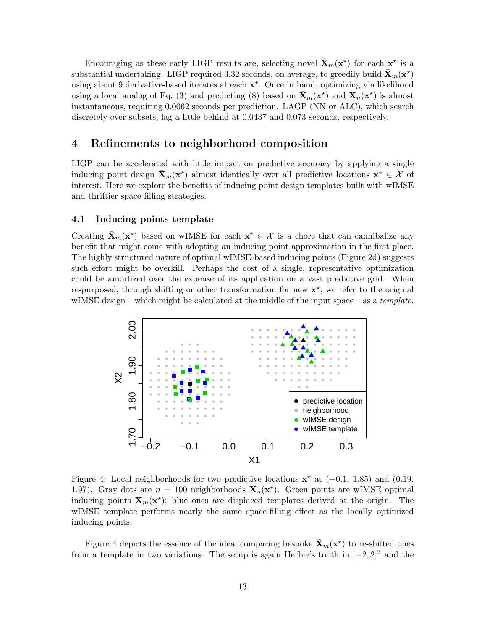Encouraging as these early LIGP results are, selecting novel  $\bar{\mathbf{X}}_m(\mathbf{x}^*)$  for each  $\mathbf{x}^*$  is a substantial undertaking. LIGP required 3.32 seconds, on average, to greedily build  $\bar{\mathbf{X}}_m(\mathbf{x}^{\star})$ using about 9 derivative-based iterates at each  $x^*$ . Once in hand, optimizing via likelihood using a local analog of Eq. [\(3\)](#page-3-0) and predicting [\(8\)](#page-4-3) based on  $\bar{\mathbf{X}}_m(\mathbf{x}^*)$  and  $\mathbf{X}_n(\mathbf{x}^*)$  is almost instantaneous, requiring 0.0062 seconds per prediction. LAGP (NN or ALC), which search discretely over subsets, lag a little behind at 0.0437 and 0.073 seconds, respectively.

# <span id="page-12-0"></span>4 Refinements to neighborhood composition

LIGP can be accelerated with little impact on predictive accuracy by applying a single inducing point design  $\bar{\mathbf{X}}_m(\mathbf{x}^*)$  almost identically over all predictive locations  $\mathbf{x}^* \in \mathcal{X}$  of interest. Here we explore the benefits of inducing point design templates built with wIMSE and thriftier space-filling strategies.

#### <span id="page-12-1"></span>4.1 Inducing points template

Creating  $\bar{\mathbf{X}}_m(\mathbf{x}^*)$  based on wIMSE for each  $\mathbf{x}^* \in \mathcal{X}$  is a chore that can cannibalize any benefit that might come with adopting an inducing point approximation in the first place. The highly structured nature of optimal wIMSE-based inducing points (Figure [2d](#page-10-0)) suggests such effort might be overkill. Perhaps the cost of a single, representative optimization could be amortized over the expense of its application on a vast predictive grid. When re-purposed, through shifting or other transformation for new  $x^*$ , we refer to the original wIMSE design – which might be calculated at the middle of the input space – as a template.

<span id="page-12-2"></span>

Figure 4: Local neighborhoods for two predictive locations  $\mathbf{x}^*$  at (-0.1, 1.85) and (0.19, 1.97). Gray dots are  $n = 100$  neighborhoods  $\mathbf{X}_n(\mathbf{x}^*)$ . Green points are wIMSE optimal inducing points  $\bar{\mathbf{X}}_m(\mathbf{x}^*)$ ; blue ones are displaced templates derived at the origin. The wIMSE template performs nearly the same space-filling effect as the locally optimized inducing points.

Figure [4](#page-12-2) depicts the essence of the idea, comparing bespoke  $\bar{\mathbf{X}}_m(\mathbf{x}^*)$  to re-shifted ones from a template in two variations. The setup is again Herbie's tooth in  $[-2, 2]^2$  and the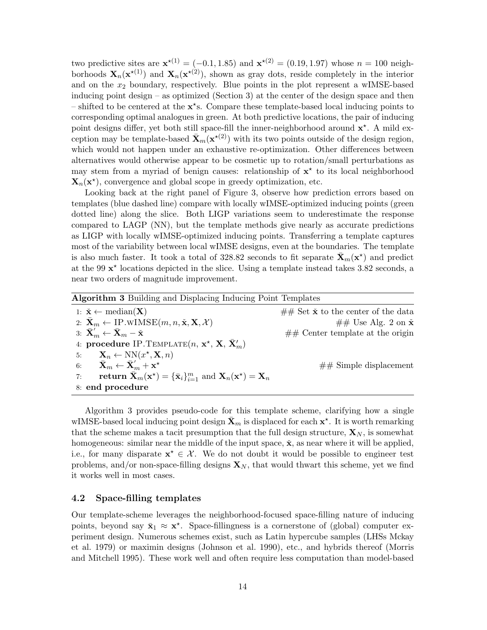two predictive sites are  $\mathbf{x}^{*(1)} = (-0.1, 1.85)$  and  $\mathbf{x}^{*(2)} = (0.19, 1.97)$  whose  $n = 100$  neighborhoods  $\mathbf{X}_n(\mathbf{x}^{*(1)})$  and  $\mathbf{X}_n(\mathbf{x}^{*(2)})$ , shown as gray dots, reside completely in the interior and on the  $x_2$  boundary, respectively. Blue points in the plot represent a wIMSE-based inducing point design – as optimized (Section [3\)](#page-7-0) at the center of the design space and then – shifted to be centered at the  $x^*s$ . Compare these template-based local inducing points to corresponding optimal analogues in green. At both predictive locations, the pair of inducing point designs differ, yet both still space-fill the inner-neighborhood around  $x^*$ . A mild exception may be template-based  $\bar{\mathbf{X}}_m(\mathbf{x}^{*(2)})$  with its two points outside of the design region, which would not happen under an exhaustive re-optimization. Other differences between alternatives would otherwise appear to be cosmetic up to rotation/small perturbations as may stem from a myriad of benign causes: relationship of  $x^*$  to its local neighborhood  $\mathbf{X}_n(\mathbf{x}^*)$ , convergence and global scope in greedy optimization, etc.

Looking back at the right panel of Figure [3,](#page-11-1) observe how prediction errors based on templates (blue dashed line) compare with locally wIMSE-optimized inducing points (green dotted line) along the slice. Both LIGP variations seem to underestimate the response compared to LAGP (NN), but the template methods give nearly as accurate predictions as LIGP with locally wIMSE-optimized inducing points. Transferring a template captures most of the variability between local wIMSE designs, even at the boundaries. The template is also much faster. It took a total of 328.82 seconds to fit separate  $\bar{\mathbf{X}}_m(\mathbf{x}^*)$  and predict at the 99  $x^*$  locations depicted in the slice. Using a template instead takes 3.82 seconds, a near two orders of magnitude improvement.

<span id="page-13-0"></span>

| <b>Algorithm 3</b> Building and Displacing Inducing Point Templates                                                          |                                                            |  |  |
|------------------------------------------------------------------------------------------------------------------------------|------------------------------------------------------------|--|--|
| 1: $\check{\mathbf{x}} \leftarrow \text{median}(\mathbf{X})$                                                                 | $\#\#\$ Set $\check{\mathbf{x}}$ to the center of the data |  |  |
| 2: $\bar{\mathbf{X}}_m \leftarrow \text{IP.WIMSE}(m, n, \check{\mathbf{x}}, \mathbf{X}, \mathcal{X})$                        | ## Use Alg. 2 on $\check{\mathbf{x}}$                      |  |  |
| 3: $\bar{\mathbf{X}}_m' \leftarrow \bar{\mathbf{X}}_m - \check{\mathbf{x}}_m$                                                | $\#\#$ Center template at the origin                       |  |  |
| 4: procedure IP. TEMPLATE $(n, x^*, X, \overline{X}'_m)$                                                                     |                                                            |  |  |
| 5: $\mathbf{X}_n \leftarrow \text{NN}(x^*, \mathbf{X}, n)$                                                                   |                                                            |  |  |
| $\bar{\mathbf{X}}_m \leftarrow \bar{\mathbf{X}}_m' + \mathbf{x}^{\star}$<br>6:                                               | $\# \#$ Simple displacement                                |  |  |
| return $\mathbf{X}_m(\mathbf{x}^*) = {\{\bar{\mathbf{x}}_i\}_{i=1}^m}$ and $\mathbf{X}_n(\mathbf{x}^*) = \mathbf{X}_n$<br>7: |                                                            |  |  |
| 8: end procedure                                                                                                             |                                                            |  |  |

Algorithm [3](#page-13-0) provides pseudo-code for this template scheme, clarifying how a single wIMSE-based local inducing point design  $\bar{\mathbf{X}}_m$  is displaced for each  $\mathbf{x}^*$ . It is worth remarking that the scheme makes a tacit presumption that the full design structure,  $\mathbf{X}_N$ , is somewhat homogeneous: similar near the middle of the input space,  $\dot{x}$ , as near where it will be applied, i.e., for many disparate  $\mathbf{x}^* \in \mathcal{X}$ . We do not doubt it would be possible to engineer test problems, and/or non-space-filling designs  $\mathbf{X}_N$ , that would thwart this scheme, yet we find it works well in most cases.

#### <span id="page-13-1"></span>4.2 Space-filling templates

Our template-scheme leverages the neighborhood-focused space-filling nature of inducing points, beyond say  $\bar{\mathbf{x}}_1 \approx \mathbf{x}^*$ . Space-fillingness is a cornerstone of (global) computer experiment design. Numerous schemes exist, such as Latin hypercube samples (LHSs [Mckay](#page-25-7) [et al. 1979\)](#page-25-7) or maximin designs [\(Johnson et al. 1990\)](#page-25-8), etc., and hybrids thereof [\(Morris](#page-25-9) [and Mitchell 1995\)](#page-25-9). These work well and often require less computation than model-based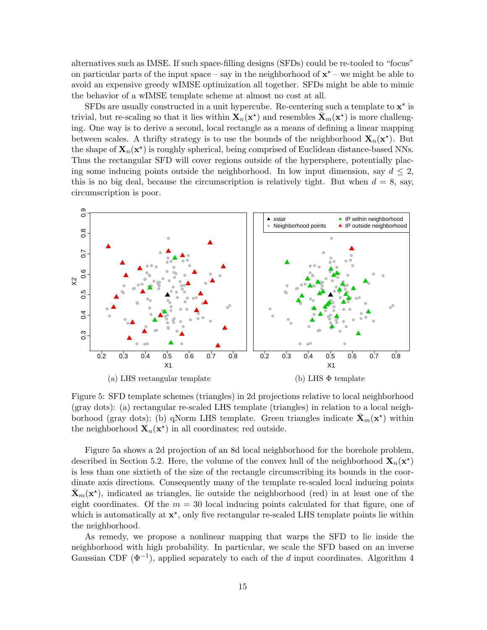alternatives such as IMSE. If such space-filling designs (SFDs) could be re-tooled to "focus" on particular parts of the input space – say in the neighborhood of  $x^*$  – we might be able to avoid an expensive greedy wIMSE optimization all together. SFDs might be able to mimic the behavior of a wIMSE template scheme at almost no cost at all.

SFDs are usually constructed in a unit hypercube. Re-centering such a template to  $x^*$  is trivial, but re-scaling so that it lies within  $\mathbf{X}_n(\mathbf{x}^*)$  and resembles  $\bar{\mathbf{X}}_m(\mathbf{x}^*)$  is more challenging. One way is to derive a second, local rectangle as a means of defining a linear mapping between scales. A thrifty strategy is to use the bounds of the neighborhood  $\mathbf{X}_n(\mathbf{x}^*)$ . But the shape of  $\mathbf{X}_n(\mathbf{x}^*)$  is roughly spherical, being comprised of Euclidean distance-based NNs. Thus the rectangular SFD will cover regions outside of the hypersphere, potentially placing some inducing points outside the neighborhood. In low input dimension, say  $d \leq 2$ , this is no big deal, because the circumscription is relatively tight. But when  $d = 8$ , say, circumscription is poor.

<span id="page-14-0"></span>

Figure 5: SFD template schemes (triangles) in 2d projections relative to local neighborhood (gray dots): (a) rectangular re-scaled LHS template (triangles) in relation to a local neighborhood (gray dots); (b) qNorm LHS template. Green triangles indicate  $\bar{\mathbf{X}}_m(\mathbf{x}^*)$  within the neighborhood  $\mathbf{X}_n(\mathbf{x}^*)$  in all coordinates; red outside.

Figure [5a](#page-14-0) shows a 2d projection of an 8d local neighborhood for the borehole problem, described in Section [5.2.](#page-17-0) Here, the volume of the convex hull of the neighborhood  $\mathbf{X}_n(\mathbf{x}^*)$ is less than one sixtieth of the size of the rectangle circumscribing its bounds in the coordinate axis directions. Consequently many of the template re-scaled local inducing points  $\bar{\mathbf{X}}_m(\mathbf{x}^*)$ , indicated as triangles, lie outside the neighborhood (red) in at least one of the eight coordinates. Of the  $m = 30$  local inducing points calculated for that figure, one of which is automatically at  $x^*$ , only five rectangular re-scaled LHS template points lie within the neighborhood.

As remedy, we propose a nonlinear mapping that warps the SFD to lie inside the neighborhood with high probability. In particular, we scale the SFD based on an inverse Gaussian CDF  $(\Phi^{-1})$ , applied separately to each of the d input coordinates. Algorithm [4](#page-15-0)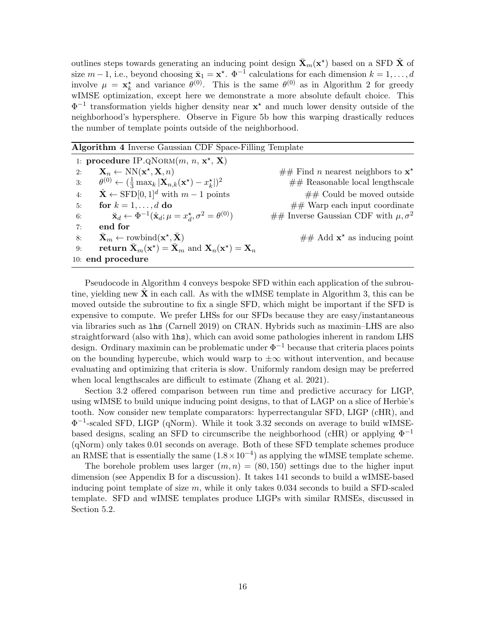outlines steps towards generating an inducing point design  $\bar{\mathbf{X}}_m(\mathbf{x}^{\star})$  based on a SFD  $\hat{\mathbf{X}}$  of size  $m-1$ , i.e., beyond choosing  $\bar{\mathbf{x}}_1 = \mathbf{x}^*$ .  $\Phi^{-1}$  calculations for each dimension  $k = 1, \ldots, d$ involve  $\mu = \mathbf{x}_k^*$  and variance  $\theta^{(0)}$ . This is the same  $\theta^{(0)}$  as in Algorithm [2](#page-11-0) for greedy wIMSE optimization, except here we demonstrate a more absolute default choice. This  $\Phi^{-1}$  transformation yields higher density near  $x^*$  and much lower density outside of the neighborhood's hypersphere. Observe in Figure [5b](#page-14-0) how this warping drastically reduces the number of template points outside of the neighborhood.

<span id="page-15-0"></span>

| <b>Algorithm 4</b> Inverse Gaussian CDF Space-Filling Template                                                       |                                              |  |
|----------------------------------------------------------------------------------------------------------------------|----------------------------------------------|--|
| 1: procedure IP.QNORM $(m, n, x^*, X)$                                                                               |                                              |  |
| $\mathbf{X}_n \leftarrow \text{NN}(\mathbf{x}^*, \mathbf{X}, n)$<br>2:                                               | ## Find <i>n</i> nearest neighbors to $x^*$  |  |
| $\theta^{(0)} \leftarrow (\frac{1}{3} \max_k  \mathbf{X}_{n,k}(\mathbf{x}^{\star}) - x_k^{\star} )^2$<br>3:          | $\#\#$ Reasonable local lengthscale          |  |
| $\hat{\mathbf{X}} \leftarrow$ SFD[0, 1] <sup>d</sup> with $m-1$ points<br>4:                                         | $\#\#$ Could be moved outside                |  |
| for $k = 1, \ldots, d$ do<br>5:                                                                                      | $\#\#$ Warp each input coordinate            |  |
| $\ddot{\mathbf{x}}_d \leftarrow \Phi^{-1}(\hat{\mathbf{x}}_d; \mu = x_d^{\star}, \sigma^2 = \theta^{(0)})$<br>6:     | ## Inverse Gaussian CDF with $\mu, \sigma^2$ |  |
| end for<br>7:                                                                                                        |                                              |  |
| $\mathbf{X}_m \leftarrow \text{rowbind}(\mathbf{x}^*, \check{\mathbf{X}})$<br>8:                                     | $\#\#$ Add $\mathbf{x}^*$ as inducing point  |  |
| return $\bar{\mathbf{X}}_m(\mathbf{x}^*) = \bar{\mathbf{X}}_m$ and $\mathbf{X}_n(\mathbf{x}^*) = \mathbf{X}_n$<br>9: |                                              |  |
| 10: end procedure                                                                                                    |                                              |  |

Pseudocode in Algorithm [4](#page-15-0) conveys bespoke SFD within each application of the subroutine, yielding new  $X$  in each call. As with the wIMSE template in Algorithm [3,](#page-13-0) this can be moved outside the subroutine to fix a single SFD, which might be important if the SFD is expensive to compute. We prefer LHSs for our SFDs because they are easy/instantaneous via libraries such as lhs [\(Carnell 2019\)](#page-23-10) on CRAN. Hybrids such as maximin–LHS are also straightforward (also with lhs), which can avoid some pathologies inherent in random LHS design. Ordinary maximin can be problematic under  $\Phi^{-1}$  because that criteria places points on the bounding hypercube, which would warp to  $\pm\infty$  without intervention, and because evaluating and optimizing that criteria is slow. Uniformly random design may be preferred when local lengthscales are difficult to estimate [\(Zhang et al. 2021\)](#page-28-3).

Section [3.2](#page-9-0) offered comparison between run time and predictive accuracy for LIGP, using wIMSE to build unique inducing point designs, to that of LAGP on a slice of Herbie's tooth. Now consider new template comparators: hyperrectangular SFD, LIGP (cHR), and Φ −1 -scaled SFD, LIGP (qNorm). While it took 3.32 seconds on average to build wIMSEbased designs, scaling an SFD to circumscribe the neighborhood (cHR) or applying  $\Phi^{-1}$ (qNorm) only takes 0.01 seconds on average. Both of these SFD template schemes produce an RMSE that is essentially the same  $(1.8 \times 10^{-4})$  as applying the wIMSE template scheme.

The borehole problem uses larger  $(m, n) = (80, 150)$  settings due to the higher input dimension (see Appendix [B](#page-32-0) for a discussion). It takes 141 seconds to build a wIMSE-based inducing point template of size  $m$ , while it only takes 0.034 seconds to build a SFD-scaled template. SFD and wIMSE templates produce LIGPs with similar RMSEs, discussed in Section [5.2.](#page-17-0)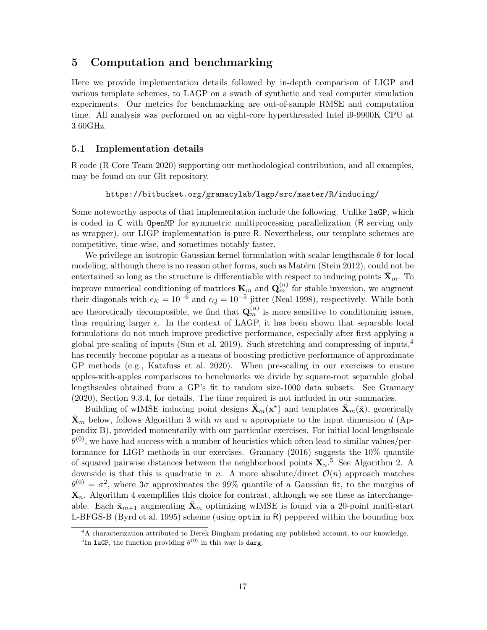### <span id="page-16-0"></span>5 Computation and benchmarking

Here we provide implementation details followed by in-depth comparison of LIGP and various template schemes, to LAGP on a swath of synthetic and real computer simulation experiments. Our metrics for benchmarking are out-of-sample RMSE and computation time. All analysis was performed on an eight-core hyperthreaded Intel i9-9900K CPU at 3.60GHz.

#### <span id="page-16-1"></span>5.1 Implementation details

R code [\(R Core Team 2020\)](#page-26-12) supporting our methodological contribution, and all examples, may be found on our Git repository.

#### <https://bitbucket.org/gramacylab/lagp/src/master/R/inducing/>

Some noteworthy aspects of that implementation include the following. Unlike laGP, which is coded in C with OpenMP for symmetric multiprocessing parallelization (R serving only as wrapper), our LIGP implementation is pure R. Nevertheless, our template schemes are competitive, time-wise, and sometimes notably faster.

We privilege an isotropic Gaussian kernel formulation with scalar lengthscale  $\theta$  for local modeling, although there is no reason other forms, such as Matérn [\(Stein 2012\)](#page-27-5), could not be entertained so long as the structure is differentiable with respect to inducing points  $\bar{\mathbf{X}}_m$ . To improve numerical conditioning of matrices  $\mathbf{K}_m$  and  $\mathbf{Q}_m^{(n)}$  for stable inversion, we augment their diagonals with  $\epsilon_K = 10^{-6}$  and  $\epsilon_Q = 10^{-5}$  jitter [\(Neal 1998\)](#page-25-3), respectively. While both are theoretically decomposible, we find that  $\mathbf{Q}_m^{(n)}$  is more sensitive to conditioning issues, thus requiring larger  $\epsilon$ . In the context of LAGP, it has been shown that separable local formulations do not much improve predictive performance, especially after first applying a global pre-scaling of inputs [\(Sun et al. 2019\)](#page-27-12). Such stretching and compressing of inputs,[4](#page-16-2) has recently become popular as a means of boosting predictive performance of approximate GP methods (e.g., [Katzfuss et al. 2020\)](#page-25-10). When pre-scaling in our exercises to ensure apples-with-apples comparisons to benchmarks we divide by square-root separable global lengthscales obtained from a GP's fit to random size-1000 data subsets. See [Gramacy](#page-24-0) [\(2020\)](#page-24-0), Section 9.3.4, for details. The time required is not included in our summaries.

Building of wIMSE inducing point designs  $\bar{\mathbf{X}}_m(\mathbf{x}^*)$  and templates  $\bar{\mathbf{X}}_m(\check{\mathbf{x}})$ , generically  $\bar{\mathbf{X}}_m$  below, follows Algorithm [3](#page-13-0) with m and n appropriate to the input dimension d (Appendix [B\)](#page-32-0), provided momentarily with our particular exercises. For initial local lengthscale  $\theta^{(0)}$ , we have had success with a number of heuristics which often lead to similar values/performance for LIGP methods in our exercises. [Gramacy](#page-24-8) [\(2016\)](#page-24-8) suggests the 10% quantile of squared pairwise distances between the neighborhood points  $X_n$ <sup>[5](#page-16-3)</sup> See Algorithm [2.](#page-11-0) A downside is that this is quadratic in n. A more absolute/direct  $\mathcal{O}(n)$  approach matches  $\theta^{(0)} = \sigma^2$ , where  $3\sigma$  approximates the 99% quantile of a Gaussian fit, to the margins of  $\mathbf{X}_n$ . Algorithm [4](#page-15-0) exemplifies this choice for contrast, although we see these as interchangeable. Each  $\bar{\mathbf{x}}_{m+1}$  augmenting  $\mathbf{X}_m$  optimizing wIMSE is found via a 20-point multi-start L-BFGS-B [\(Byrd et al. 1995\)](#page-23-11) scheme (using optim in R) peppered within the bounding box

<span id="page-16-2"></span><sup>4</sup>A characterization attributed to Derek Bingham predating any published account, to our knowledge.

<span id="page-16-3"></span><sup>&</sup>lt;sup>5</sup>In laGP, the function providing  $\theta^{(0)}$  in this way is darg.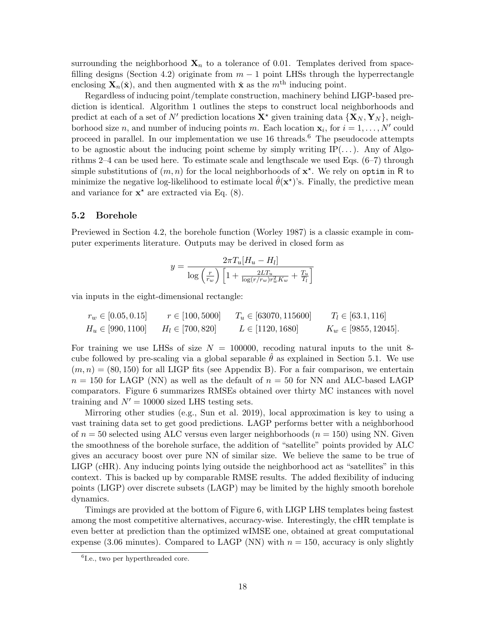surrounding the neighborhood  $\mathbf{X}_n$  to a tolerance of 0.01. Templates derived from space-filling designs (Section [4.2\)](#page-13-1) originate from  $m-1$  point LHSs through the hyperrectangle enclosing  $\mathbf{X}_n(\check{\mathbf{x}})$ , and then augmented with  $\check{\mathbf{x}}$  as the  $m^{\text{th}}$  inducing point.

Regardless of inducing point/template construction, machinery behind LIGP-based prediction is identical. Algorithm [1](#page-7-1) outlines the steps to construct local neighborhoods and predict at each of a set of N' prediction locations  ${\bf X}^*$  given training data  $\{{\bf X}_N, {\bf Y}_N\}$ , neighborhood size n, and number of inducing points m. Each location  $x_i$ , for  $i = 1, ..., N'$  could proceed in parallel. In our implementation we use  $16$  $16$  threads.<sup>6</sup> The pseudocode attempts to be agnostic about the inducing point scheme by simply writing  $IP(\ldots)$ . Any of Algorithms [2](#page-11-0)[–4](#page-15-0) can be used here. To estimate scale and lengthscale we used Eqs. [\(6–](#page-4-1)[7\)](#page-4-2) through simple substitutions of  $(m, n)$  for the local neighborhoods of  $x^*$ . We rely on optim in R to minimize the negative log-likelihood to estimate local  $\hat{\theta}(\mathbf{x}^{\star})$ 's. Finally, the predictive mean and variance for  $x^*$  are extracted via Eq. [\(8\)](#page-4-3).

#### <span id="page-17-0"></span>5.2 Borehole

Previewed in Section [4.2,](#page-13-1) the borehole function [\(Worley 1987\)](#page-28-4) is a classic example in computer experiments literature. Outputs may be derived in closed form as

$$
y = \frac{2\pi T_u[H_u - H_l]}{\log\left(\frac{r}{r_w}\right)\left[1 + \frac{2LT_u}{\log(r/r_w)r_w^2K_w} + \frac{T_u}{T_l}\right]}
$$

via inputs in the eight-dimensional rectangle:

$$
r_w \in [0.05, 0.15] \qquad r \in [100, 5000] \qquad T_u \in [63070, 115600] \qquad T_l \in [63.1, 116]
$$
  
\n
$$
H_u \in [990, 1100] \qquad H_l \in [700, 820] \qquad L \in [1120, 1680] \qquad K_w \in [9855, 12045].
$$

For training we use LHSs of size  $N = 100000$ , recoding natural inputs to the unit 8cube followed by pre-scaling via a global separable  $\theta$  as explained in Section [5.1.](#page-16-1) We use  $(m, n) = (80, 150)$  for all LIGP fits (see Appendix [B\)](#page-32-0). For a fair comparison, we entertain  $n = 150$  for LAGP (NN) as well as the default of  $n = 50$  for NN and ALC-based LAGP comparators. Figure [6](#page-18-0) summarizes RMSEs obtained over thirty MC instances with novel training and  $N' = 10000$  sized LHS testing sets.

Mirroring other studies (e.g., [Sun et al. 2019\)](#page-27-12), local approximation is key to using a vast training data set to get good predictions. LAGP performs better with a neighborhood of  $n = 50$  selected using ALC versus even larger neighborhoods  $(n = 150)$  using NN. Given the smoothness of the borehole surface, the addition of "satellite" points provided by ALC gives an accuracy boost over pure NN of similar size. We believe the same to be true of LIGP (cHR). Any inducing points lying outside the neighborhood act as "satellites" in this context. This is backed up by comparable RMSE results. The added flexibility of inducing points (LIGP) over discrete subsets (LAGP) may be limited by the highly smooth borehole dynamics.

Timings are provided at the bottom of Figure [6,](#page-18-0) with LIGP LHS templates being fastest among the most competitive alternatives, accuracy-wise. Interestingly, the cHR template is even better at prediction than the optimized wIMSE one, obtained at great computational expense (3.06 minutes). Compared to LAGP (NN) with  $n = 150$ , accuracy is only slightly

<span id="page-17-1"></span><sup>6</sup> I.e., two per hyperthreaded core.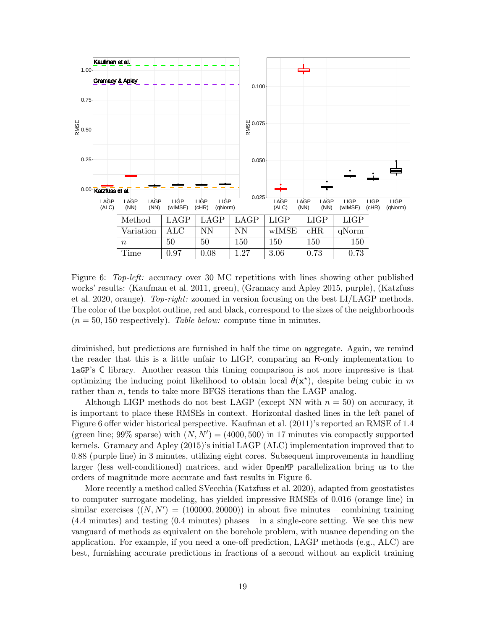<span id="page-18-0"></span>

Figure 6: Top-left: accuracy over 30 MC repetitions with lines showing other published works' results: [\(Kaufman et al. 2011,](#page-25-11) green), [\(Gramacy and Apley 2015,](#page-24-4) purple), [\(Katzfuss](#page-25-10) [et al. 2020,](#page-25-10) orange). Top-right: zoomed in version focusing on the best  $LI/LAGP$  methods. The color of the boxplot outline, red and black, correspond to the sizes of the neighborhoods  $(n = 50, 150$  respectively). Table below: compute time in minutes.

diminished, but predictions are furnished in half the time on aggregate. Again, we remind the reader that this is a little unfair to LIGP, comparing an R-only implementation to laGP's C library. Another reason this timing comparison is not more impressive is that optimizing the inducing point likelihood to obtain local  $\hat{\theta}(\mathbf{x}^*)$ , despite being cubic in m rather than  $n$ , tends to take more BFGS iterations than the LAGP analog.

Although LIGP methods do not best LAGP (except NN with  $n = 50$ ) on accuracy, it is important to place these RMSEs in context. Horizontal dashed lines in the left panel of Figure [6](#page-18-0) offer wider historical perspective. [Kaufman et al.](#page-25-11) [\(2011\)](#page-25-11)'s reported an RMSE of 1.4 (green line; 99% sparse) with  $(N, N') = (4000, 500)$  in 17 minutes via compactly supported kernels. [Gramacy and Apley](#page-24-4) [\(2015\)](#page-24-4)'s initial LAGP (ALC) implementation improved that to 0.88 (purple line) in 3 minutes, utilizing eight cores. Subsequent improvements in handling larger (less well-conditioned) matrices, and wider OpenMP parallelization bring us to the orders of magnitude more accurate and fast results in Figure [6.](#page-18-0)

More recently a method called SVecchia [\(Katzfuss et al. 2020\)](#page-25-10), adapted from geostatistcs to computer surrogate modeling, has yielded impressive RMSEs of 0.016 (orange line) in similar exercises  $((N, N') = (100000, 20000))$  in about five minutes – combining training (4.4 minutes) and testing (0.4 minutes) phases – in a single-core setting. We see this new vanguard of methods as equivalent on the borehole problem, with nuance depending on the application. For example, if you need a one-off prediction, LAGP methods (e.g., ALC) are best, furnishing accurate predictions in fractions of a second without an explicit training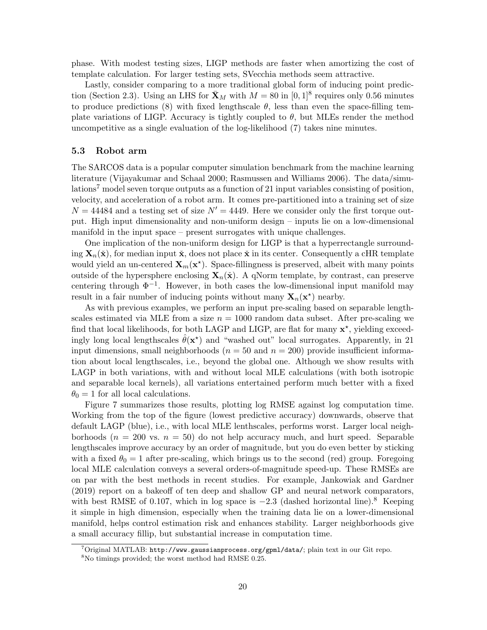phase. With modest testing sizes, LIGP methods are faster when amortizing the cost of template calculation. For larger testing sets, SVecchia methods seem attractive.

Lastly, consider comparing to a more traditional global form of inducing point predic-tion (Section [2.3\)](#page-4-4). Using an LHS for  $\bar{\mathbf{X}}_M$  with  $M = 80$  in  $[0, 1]^8$  requires only 0.56 minutes to produce predictions [\(8\)](#page-4-3) with fixed lengthscale  $\theta$ , less than even the space-filling template variations of LIGP. Accuracy is tightly coupled to  $\theta$ , but MLEs render the method uncompetitive as a single evaluation of the log-likelihood [\(7\)](#page-4-2) takes nine minutes.

#### 5.3 Robot arm

The SARCOS data is a popular computer simulation benchmark from the machine learning literature [\(Vijayakumar and Schaal 2000;](#page-27-13) [Rasmussen and Williams 2006\)](#page-26-10). The data/simu-lations<sup>[7](#page-19-0)</sup> model seven torque outputs as a function of 21 input variables consisting of position, velocity, and acceleration of a robot arm. It comes pre-partitioned into a training set of size  $N = 44484$  and a testing set of size  $N' = 4449$ . Here we consider only the first torque output. High input dimensionality and non-uniform design – inputs lie on a low-dimensional manifold in the input space – present surrogates with unique challenges.

One implication of the non-uniform design for LIGP is that a hyperrectangle surrounding  $\mathbf{X}_n(\check{\mathbf{x}})$ , for median input  $\check{\mathbf{x}}$ , does not place  $\check{\mathbf{x}}$  in its center. Consequently a cHR template would yield an un-centered  $\mathbf{X}_m(\mathbf{x}^*)$ . Space-fillingness is preserved, albeit with many points outside of the hypersphere enclosing  $\mathbf{X}_n(\check{\mathbf{x}})$ . A qNorm template, by contrast, can preserve centering through  $\Phi^{-1}$ . However, in both cases the low-dimensional input manifold may result in a fair number of inducing points without many  $\mathbf{X}_n(\mathbf{x}^*)$  nearby.

As with previous examples, we perform an input pre-scaling based on separable lengthscales estimated via MLE from a size  $n = 1000$  random data subset. After pre-scaling we find that local likelihoods, for both LAGP and LIGP, are flat for many  $x^*$ , yielding exceedingly long local lengthscales  $\hat{\theta}(\mathbf{x}^*)$  and "washed out" local surrogates. Apparently, in 21 input dimensions, small neighborhoods ( $n = 50$  and  $n = 200$ ) provide insufficient information about local lengthscales, i.e., beyond the global one. Although we show results with LAGP in both variations, with and without local MLE calculations (with both isotropic and separable local kernels), all variations entertained perform much better with a fixed  $\theta_0 = 1$  for all local calculations.

Figure [7](#page-20-0) summarizes those results, plotting log RMSE against log computation time. Working from the top of the figure (lowest predictive accuracy) downwards, observe that default LAGP (blue), i.e., with local MLE lenthscales, performs worst. Larger local neighborhoods ( $n = 200$  vs.  $n = 50$ ) do not help accuracy much, and hurt speed. Separable lengthscales improve accuracy by an order of magnitude, but you do even better by sticking with a fixed  $\theta_0 = 1$  after pre-scaling, which brings us to the second (red) group. Foregoing local MLE calculation conveys a several orders-of-magnitude speed-up. These RMSEs are on par with the best methods in recent studies. For example, [Jankowiak and Gardner](#page-25-12) [\(2019\)](#page-25-12) report on a bakeoff of ten deep and shallow GP and neural network comparators, with best RMSE of 0.107, which in log space is  $-2.3$  (dashed horizontal line).<sup>[8](#page-19-1)</sup> Keeping it simple in high dimension, especially when the training data lie on a lower-dimensional manifold, helps control estimation risk and enhances stability. Larger neighborhoods give a small accuracy fillip, but substantial increase in computation time.

<span id="page-19-0"></span> $7$ Original MATLAB: <http://www.gaussianprocess.org/gpml/data/>; plain text in our Git repo.

<span id="page-19-1"></span><sup>8</sup>No timings provided; the worst method had RMSE 0.25.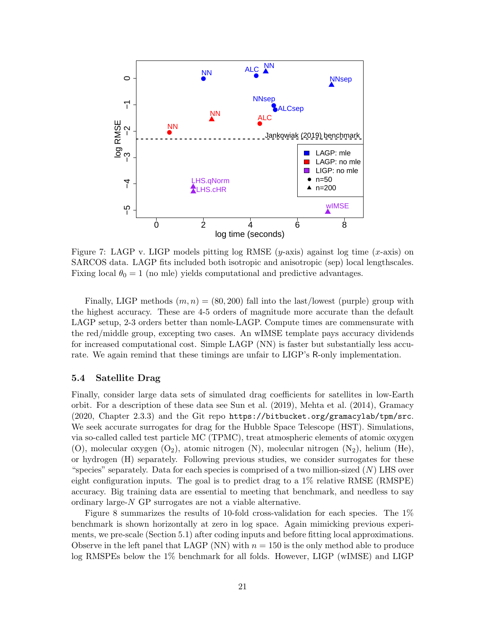<span id="page-20-0"></span>

Figure 7: LAGP v. LIGP models pitting log RMSE  $(y\text{-axis})$  against log time  $(x\text{-axis})$  on SARCOS data. LAGP fits included both isotropic and anisotropic (sep) local lengthscales. Fixing local  $\theta_0 = 1$  (no mle) yields computational and predictive advantages.

Finally, LIGP methods  $(m, n) = (80, 200)$  fall into the last/lowest (purple) group with the highest accuracy. These are 4-5 orders of magnitude more accurate than the default LAGP setup, 2-3 orders better than nomle-LAGP. Compute times are commensurate with the red/middle group, excepting two cases. An wIMSE template pays accuracy dividends for increased computational cost. Simple LAGP (NN) is faster but substantially less accurate. We again remind that these timings are unfair to LIGP's R-only implementation.

#### 5.4 Satellite Drag

Finally, consider large data sets of simulated drag coefficients for satellites in low-Earth orbit. For a description of these data see [Sun et al.](#page-27-12) [\(2019\)](#page-27-12), [Mehta et al.](#page-25-13) [\(2014\)](#page-25-13), [Gramacy](#page-24-0) [\(2020,](#page-24-0) Chapter 2.3.3) and the Git repo <https://bitbucket.org/gramacylab/tpm/src>. We seek accurate surrogates for drag for the Hubble Space Telescope (HST). Simulations, via so-called called test particle MC (TPMC), treat atmospheric elements of atomic oxygen (O), molecular oxygen  $(O_2)$ , atomic nitrogen  $(N)$ , molecular nitrogen  $(N_2)$ , helium (He), or hydrogen (H) separately. Following previous studies, we consider surrogates for these "species" separately. Data for each species is comprised of a two million-sized  $(N)$  LHS over eight configuration inputs. The goal is to predict drag to a 1% relative RMSE (RMSPE) accuracy. Big training data are essential to meeting that benchmark, and needless to say ordinary large-N GP surrogates are not a viable alternative.

Figure [8](#page-21-1) summarizes the results of 10-fold cross-validation for each species. The 1% benchmark is shown horizontally at zero in log space. Again mimicking previous experiments, we pre-scale (Section [5.1\)](#page-16-1) after coding inputs and before fitting local approximations. Observe in the left panel that LAGP (NN) with  $n = 150$  is the only method able to produce log RMSPEs below the 1% benchmark for all folds. However, LIGP (wIMSE) and LIGP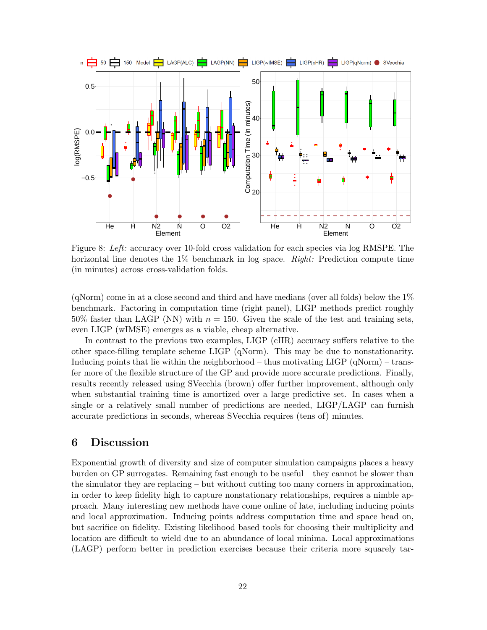<span id="page-21-1"></span>

Figure 8: Left: accuracy over 10-fold cross validation for each species via log RMSPE. The horizontal line denotes the  $1\%$  benchmark in log space. Right: Prediction compute time (in minutes) across cross-validation folds.

(qNorm) come in at a close second and third and have medians (over all folds) below the  $1\%$ benchmark. Factoring in computation time (right panel), LIGP methods predict roughly 50% faster than LAGP (NN) with  $n = 150$ . Given the scale of the test and training sets, even LIGP (wIMSE) emerges as a viable, cheap alternative.

In contrast to the previous two examples, LIGP (cHR) accuracy suffers relative to the other space-filling template scheme LIGP (qNorm). This may be due to nonstationarity. Inducing points that lie within the neighborhood – thus motivating LIGP ( $qNorm$ ) – transfer more of the flexible structure of the GP and provide more accurate predictions. Finally, results recently released using SVecchia (brown) offer further improvement, although only when substantial training time is amortized over a large predictive set. In cases when a single or a relatively small number of predictions are needed, LIGP/LAGP can furnish accurate predictions in seconds, whereas SVecchia requires (tens of) minutes.

### <span id="page-21-0"></span>6 Discussion

Exponential growth of diversity and size of computer simulation campaigns places a heavy burden on GP surrogates. Remaining fast enough to be useful – they cannot be slower than the simulator they are replacing – but without cutting too many corners in approximation, in order to keep fidelity high to capture nonstationary relationships, requires a nimble approach. Many interesting new methods have come online of late, including inducing points and local approximation. Inducing points address computation time and space head on, but sacrifice on fidelity. Existing likelihood based tools for choosing their multiplicity and location are difficult to wield due to an abundance of local minima. Local approximations (LAGP) perform better in prediction exercises because their criteria more squarely tar-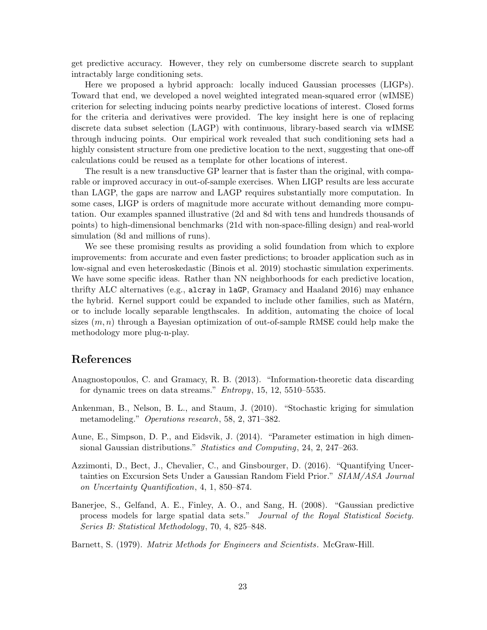get predictive accuracy. However, they rely on cumbersome discrete search to supplant intractably large conditioning sets.

Here we proposed a hybrid approach: locally induced Gaussian processes (LIGPs). Toward that end, we developed a novel weighted integrated mean-squared error (wIMSE) criterion for selecting inducing points nearby predictive locations of interest. Closed forms for the criteria and derivatives were provided. The key insight here is one of replacing discrete data subset selection (LAGP) with continuous, library-based search via wIMSE through inducing points. Our empirical work revealed that such conditioning sets had a highly consistent structure from one predictive location to the next, suggesting that one-off calculations could be reused as a template for other locations of interest.

The result is a new transductive GP learner that is faster than the original, with comparable or improved accuracy in out-of-sample exercises. When LIGP results are less accurate than LAGP, the gaps are narrow and LAGP requires substantially more computation. In some cases, LIGP is orders of magnitude more accurate without demanding more computation. Our examples spanned illustrative (2d and 8d with tens and hundreds thousands of points) to high-dimensional benchmarks (21d with non-space-filling design) and real-world simulation (8d and millions of runs).

We see these promising results as providing a solid foundation from which to explore improvements: from accurate and even faster predictions; to broader application such as in low-signal and even heteroskedastic [\(Binois et al. 2019\)](#page-23-7) stochastic simulation experiments. We have some specific ideas. Rather than NN neighborhoods for each predictive location, thrifty ALC alternatives (e.g., alcray in laGP, [Gramacy and Haaland 2016\)](#page-24-6) may enhance the hybrid. Kernel support could be expanded to include other families, such as Matérn, or to include locally separable lengthscales. In addition, automating the choice of local sizes  $(m, n)$  through a Bayesian optimization of out-of-sample RMSE could help make the methodology more plug-n-play.

### References

- <span id="page-22-4"></span>Anagnostopoulos, C. and Gramacy, R. B. (2013). "Information-theoretic data discarding for dynamic trees on data streams." Entropy, 15, 12, 5510–5535.
- <span id="page-22-3"></span>Ankenman, B., Nelson, B. L., and Staum, J. (2010). "Stochastic kriging for simulation metamodeling." Operations research, 58, 2, 371–382.
- <span id="page-22-0"></span>Aune, E., Simpson, D. P., and Eidsvik, J. (2014). "Parameter estimation in high dimensional Gaussian distributions." Statistics and Computing, 24, 2, 247–263.
- <span id="page-22-5"></span>Azzimonti, D., Bect, J., Chevalier, C., and Ginsbourger, D. (2016). "Quantifying Uncertainties on Excursion Sets Under a Gaussian Random Field Prior." SIAM/ASA Journal on Uncertainty Quantification, 4, 1, 850–874.
- <span id="page-22-1"></span>Banerjee, S., Gelfand, A. E., Finley, A. O., and Sang, H. (2008). "Gaussian predictive process models for large spatial data sets." Journal of the Royal Statistical Society. Series B: Statistical Methodology, 70, 4, 825–848.

<span id="page-22-2"></span>Barnett, S. (1979). Matrix Methods for Engineers and Scientists. McGraw-Hill.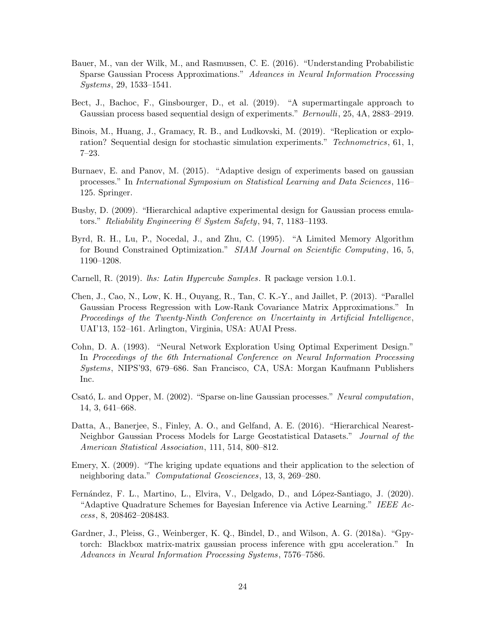- <span id="page-23-3"></span>Bauer, M., van der Wilk, M., and Rasmussen, C. E. (2016). "Understanding Probabilistic Sparse Gaussian Process Approximations." Advances in Neural Information Processing Systems, 29, 1533–1541.
- <span id="page-23-13"></span>Bect, J., Bachoc, F., Ginsbourger, D., et al. (2019). "A supermartingale approach to Gaussian process based sequential design of experiments." Bernoulli, 25, 4A, 2883–2919.
- <span id="page-23-7"></span>Binois, M., Huang, J., Gramacy, R. B., and Ludkovski, M. (2019). "Replication or exploration? Sequential design for stochastic simulation experiments." Technometrics, 61, 1, 7–23.
- <span id="page-23-12"></span>Burnaev, E. and Panov, M. (2015). "Adaptive design of experiments based on gaussian processes." In International Symposium on Statistical Learning and Data Sciences, 116– 125. Springer.
- <span id="page-23-5"></span>Busby, D. (2009). "Hierarchical adaptive experimental design for Gaussian process emulators." Reliability Engineering & System Safety, 94, 7, 1183–1193.
- <span id="page-23-11"></span>Byrd, R. H., Lu, P., Nocedal, J., and Zhu, C. (1995). "A Limited Memory Algorithm for Bound Constrained Optimization." SIAM Journal on Scientific Computing, 16, 5, 1190–1208.
- <span id="page-23-10"></span>Carnell, R. (2019). *lhs: Latin Hypercube Samples*. R package version 1.0.1.
- <span id="page-23-9"></span>Chen, J., Cao, N., Low, K. H., Ouyang, R., Tan, C. K.-Y., and Jaillet, P. (2013). "Parallel Gaussian Process Regression with Low-Rank Covariance Matrix Approximations." In Proceedings of the Twenty-Ninth Conference on Uncertainty in Artificial Intelligence, UAI'13, 152–161. Arlington, Virginia, USA: AUAI Press.
- <span id="page-23-6"></span>Cohn, D. A. (1993). "Neural Network Exploration Using Optimal Experiment Design." In Proceedings of the 6th International Conference on Neural Information Processing Systems, NIPS'93, 679–686. San Francisco, CA, USA: Morgan Kaufmann Publishers Inc.
- <span id="page-23-2"></span>Csató, L. and Opper, M. (2002). "Sparse on-line Gaussian processes." Neural computation, 14, 3, 641–668.
- <span id="page-23-0"></span>Datta, A., Banerjee, S., Finley, A. O., and Gelfand, A. E. (2016). "Hierarchical Nearest-Neighbor Gaussian Process Models for Large Geostatistical Datasets." Journal of the American Statistical Association, 111, 514, 800–812.
- <span id="page-23-8"></span>Emery, X. (2009). "The kriging update equations and their application to the selection of neighboring data." Computational Geosciences, 13, 3, 269–280.
- <span id="page-23-4"></span>Fernández, F. L., Martino, L., Elvira, V., Delgado, D., and López-Santiago, J. (2020). "Adaptive Quadrature Schemes for Bayesian Inference via Active Learning." IEEE Access, 8, 208462–208483.
- <span id="page-23-1"></span>Gardner, J., Pleiss, G., Weinberger, K. Q., Bindel, D., and Wilson, A. G. (2018a). "Gpytorch: Blackbox matrix-matrix gaussian process inference with gpu acceleration." In Advances in Neural Information Processing Systems, 7576–7586.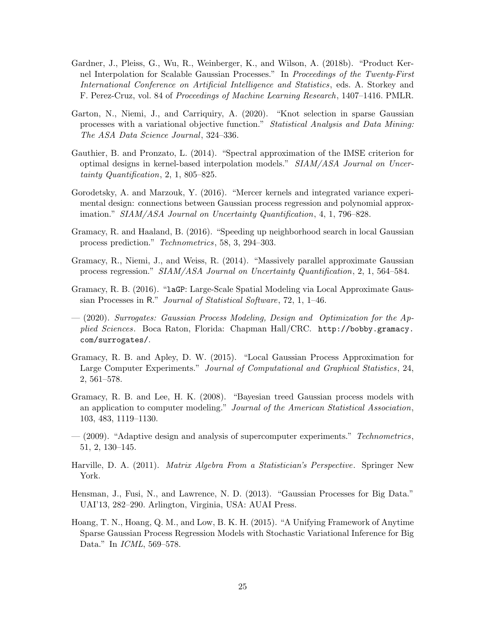- <span id="page-24-1"></span>Gardner, J., Pleiss, G., Wu, R., Weinberger, K., and Wilson, A. (2018b). "Product Kernel Interpolation for Scalable Gaussian Processes." In Proceedings of the Twenty-First International Conference on Artificial Intelligence and Statistics, eds. A. Storkey and F. Perez-Cruz, vol. 84 of Proceedings of Machine Learning Research, 1407–1416. PMLR.
- <span id="page-24-3"></span>Garton, N., Niemi, J., and Carriquiry, A. (2020). "Knot selection in sparse Gaussian processes with a variational objective function." Statistical Analysis and Data Mining: The ASA Data Science Journal, 324–336.
- <span id="page-24-12"></span>Gauthier, B. and Pronzato, L. (2014). "Spectral approximation of the IMSE criterion for optimal designs in kernel-based interpolation models." SIAM/ASA Journal on Uncertainty Quantification, 2, 1, 805–825.
- <span id="page-24-13"></span>Gorodetsky, A. and Marzouk, Y. (2016). "Mercer kernels and integrated variance experimental design: connections between Gaussian process regression and polynomial approximation." SIAM/ASA Journal on Uncertainty Quantification, 4, 1, 796–828.
- <span id="page-24-6"></span>Gramacy, R. and Haaland, B. (2016). "Speeding up neighborhood search in local Gaussian process prediction." Technometrics, 58, 3, 294–303.
- <span id="page-24-5"></span>Gramacy, R., Niemi, J., and Weiss, R. (2014). "Massively parallel approximate Gaussian process regression." SIAM/ASA Journal on Uncertainty Quantification, 2, 1, 564–584.
- <span id="page-24-8"></span>Gramacy, R. B. (2016). "laGP: Large-Scale Spatial Modeling via Local Approximate Gaussian Processes in R." Journal of Statistical Software, 72, 1, 1–46.
- <span id="page-24-0"></span>— (2020). Surrogates: Gaussian Process Modeling, Design and Optimization for the Applied Sciences. Boca Raton, Florida: Chapman Hall/CRC. [http://bobby.gramacy.](http://bobby.gramacy.com/surrogates/) [com/surrogates/](http://bobby.gramacy.com/surrogates/).
- <span id="page-24-4"></span>Gramacy, R. B. and Apley, D. W. (2015). "Local Gaussian Process Approximation for Large Computer Experiments." Journal of Computational and Graphical Statistics, 24, 2, 561–578.
- <span id="page-24-2"></span>Gramacy, R. B. and Lee, H. K. (2008). "Bayesian treed Gaussian process models with an application to computer modeling." Journal of the American Statistical Association, 103, 483, 1119–1130.
- <span id="page-24-11"></span> $-$  (2009). "Adaptive design and analysis of supercomputer experiments." Technometrics, 51, 2, 130–145.
- <span id="page-24-7"></span>Harville, D. A. (2011). Matrix Algebra From a Statistician's Perspective. Springer New York.
- <span id="page-24-9"></span>Hensman, J., Fusi, N., and Lawrence, N. D. (2013). "Gaussian Processes for Big Data." UAI'13, 282–290. Arlington, Virginia, USA: AUAI Press.
- <span id="page-24-10"></span>Hoang, T. N., Hoang, Q. M., and Low, B. K. H. (2015). "A Unifying Framework of Anytime Sparse Gaussian Process Regression Models with Stochastic Variational Inference for Big Data." In *ICML*, 569-578.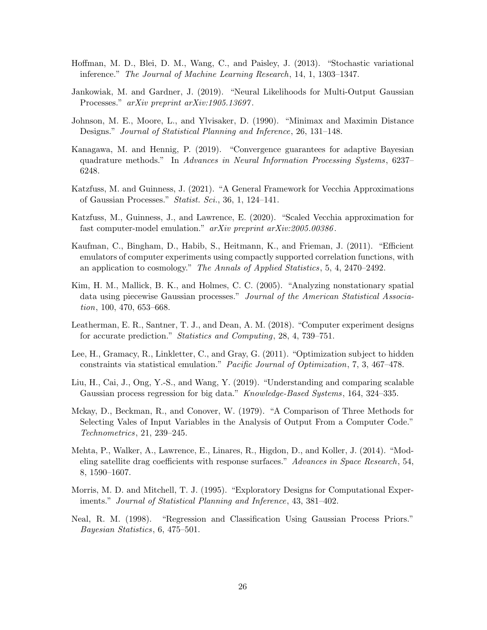- <span id="page-25-4"></span>Hoffman, M. D., Blei, D. M., Wang, C., and Paisley, J. (2013). "Stochastic variational inference." The Journal of Machine Learning Research, 14, 1, 1303–1347.
- <span id="page-25-12"></span>Jankowiak, M. and Gardner, J. (2019). "Neural Likelihoods for Multi-Output Gaussian Processes." arXiv preprint arXiv:1905.13697.
- <span id="page-25-8"></span>Johnson, M. E., Moore, L., and Ylvisaker, D. (1990). "Minimax and Maximin Distance Designs." Journal of Statistical Planning and Inference, 26, 131–148.
- <span id="page-25-5"></span>Kanagawa, M. and Hennig, P. (2019). "Convergence guarantees for adaptive Bayesian quadrature methods." In Advances in Neural Information Processing Systems, 6237– 6248.
- <span id="page-25-0"></span>Katzfuss, M. and Guinness, J. (2021). "A General Framework for Vecchia Approximations of Gaussian Processes." Statist. Sci., 36, 1, 124–141.
- <span id="page-25-10"></span>Katzfuss, M., Guinness, J., and Lawrence, E. (2020). "Scaled Vecchia approximation for fast computer-model emulation." arXiv preprint arXiv:2005.00386.
- <span id="page-25-11"></span>Kaufman, C., Bingham, D., Habib, S., Heitmann, K., and Frieman, J. (2011). "Efficient emulators of computer experiments using compactly supported correlation functions, with an application to cosmology." The Annals of Applied Statistics, 5, 4, 2470–2492.
- <span id="page-25-1"></span>Kim, H. M., Mallick, B. K., and Holmes, C. C. (2005). "Analyzing nonstationary spatial data using piecewise Gaussian processes." Journal of the American Statistical Association, 100, 470, 653–668.
- <span id="page-25-14"></span>Leatherman, E. R., Santner, T. J., and Dean, A. M. (2018). "Computer experiment designs for accurate prediction." Statistics and Computing, 28, 4, 739–751.
- <span id="page-25-6"></span>Lee, H., Gramacy, R., Linkletter, C., and Gray, G. (2011). "Optimization subject to hidden constraints via statistical emulation." Pacific Journal of Optimization, 7, 3, 467–478.
- <span id="page-25-2"></span>Liu, H., Cai, J., Ong, Y.-S., and Wang, Y. (2019). "Understanding and comparing scalable Gaussian process regression for big data." Knowledge-Based Systems, 164, 324–335.
- <span id="page-25-7"></span>Mckay, D., Beckman, R., and Conover, W. (1979). "A Comparison of Three Methods for Selecting Vales of Input Variables in the Analysis of Output From a Computer Code." Technometrics, 21, 239–245.
- <span id="page-25-13"></span>Mehta, P., Walker, A., Lawrence, E., Linares, R., Higdon, D., and Koller, J. (2014). "Modeling satellite drag coefficients with response surfaces." Advances in Space Research, 54, 8, 1590–1607.
- <span id="page-25-9"></span>Morris, M. D. and Mitchell, T. J. (1995). "Exploratory Designs for Computational Experiments." Journal of Statistical Planning and Inference, 43, 381–402.
- <span id="page-25-3"></span>Neal, R. M. (1998). "Regression and Classification Using Gaussian Process Priors." Bayesian Statistics, 6, 475–501.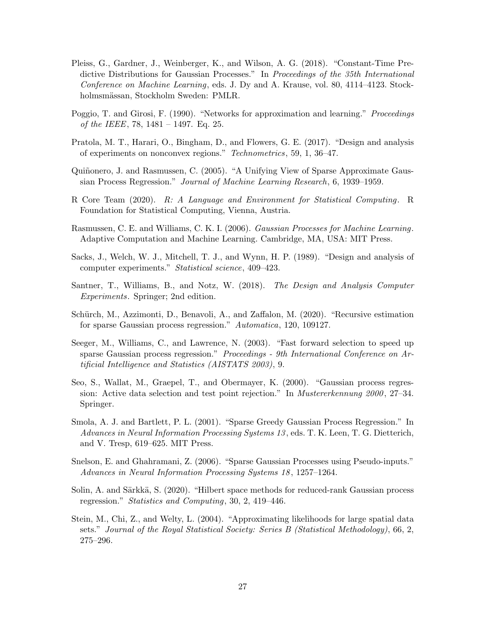- <span id="page-26-1"></span>Pleiss, G., Gardner, J., Weinberger, K., and Wilson, A. G. (2018). "Constant-Time Predictive Distributions for Gaussian Processes." In Proceedings of the 35th International Conference on Machine Learning, eds. J. Dy and A. Krause, vol. 80, 4114–4123. Stockholmsmässan, Stockholm Sweden: PMLR.
- <span id="page-26-6"></span>Poggio, T. and Girosi, F. (1990). "Networks for approximation and learning." Proceedings of the IEEE, 78, 1481 – 1497. Eq. 25.
- <span id="page-26-13"></span>Pratola, M. T., Harari, O., Bingham, D., and Flowers, G. E. (2017). "Design and analysis of experiments on nonconvex regions." Technometrics, 59, 1, 36–47.
- <span id="page-26-9"></span>Quiñonero, J. and Rasmussen, C. (2005). "A Unifying View of Sparse Approximate Gaussian Process Regression." Journal of Machine Learning Research, 6, 1939–1959.
- <span id="page-26-12"></span>R Core Team (2020). R: A Language and Environment for Statistical Computing. R Foundation for Statistical Computing, Vienna, Austria.
- <span id="page-26-10"></span>Rasmussen, C. E. and Williams, C. K. I. (2006). Gaussian Processes for Machine Learning. Adaptive Computation and Machine Learning. Cambridge, MA, USA: MIT Press.
- <span id="page-26-5"></span>Sacks, J., Welch, W. J., Mitchell, T. J., and Wynn, H. P. (1989). "Design and analysis of computer experiments." Statistical science, 409–423.
- <span id="page-26-0"></span>Santner, T., Williams, B., and Notz, W. (2018). The Design and Analysis Computer Experiments. Springer; 2nd edition.
- <span id="page-26-11"></span>Schürch, M., Azzimonti, D., Benavoli, A., and Zaffalon, M. (2020). "Recursive estimation for sparse Gaussian process regression." Automatica, 120, 109127.
- <span id="page-26-8"></span>Seeger, M., Williams, C., and Lawrence, N. (2003). "Fast forward selection to speed up sparse Gaussian process regression." Proceedings - 9th International Conference on Artificial Intelligence and Statistics (AISTATS 2003), 9.
- <span id="page-26-14"></span>Seo, S., Wallat, M., Graepel, T., and Obermayer, K. (2000). "Gaussian process regression: Active data selection and test point rejection." In Mustererkennung 2000, 27–34. Springer.
- <span id="page-26-7"></span>Smola, A. J. and Bartlett, P. L. (2001). "Sparse Greedy Gaussian Process Regression." In Advances in Neural Information Processing Systems 13 , eds. T. K. Leen, T. G. Dietterich, and V. Tresp, 619–625. MIT Press.
- <span id="page-26-3"></span>Snelson, E. and Ghahramani, Z. (2006). "Sparse Gaussian Processes using Pseudo-inputs." Advances in Neural Information Processing Systems 18 , 1257–1264.
- <span id="page-26-2"></span>Solin, A. and Särkkä, S. (2020). "Hilbert space methods for reduced-rank Gaussian process regression." Statistics and Computing, 30, 2, 419–446.
- <span id="page-26-4"></span>Stein, M., Chi, Z., and Welty, L. (2004). "Approximating likelihoods for large spatial data sets." Journal of the Royal Statistical Society: Series B (Statistical Methodology), 66, 2, 275–296.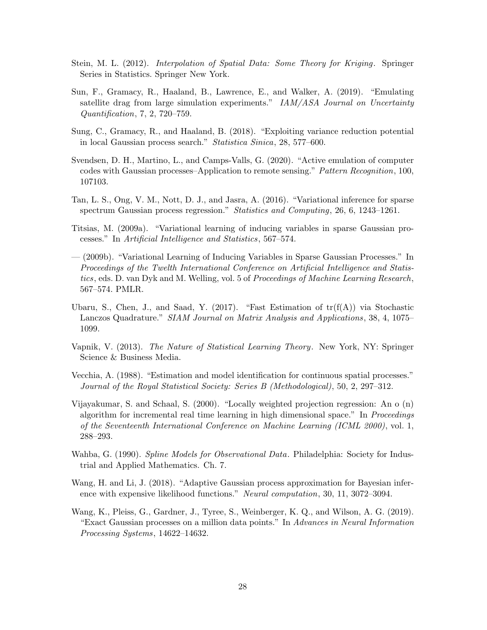- <span id="page-27-5"></span>Stein, M. L. (2012). Interpolation of Spatial Data: Some Theory for Kriging. Springer Series in Statistics. Springer New York.
- <span id="page-27-12"></span>Sun, F., Gramacy, R., Haaland, B., Lawrence, E., and Walker, A. (2019). "Emulating satellite drag from large simulation experiments." IAM/ASA Journal on Uncertainty Quantification, 7, 2, 720–759.
- <span id="page-27-3"></span>Sung, C., Gramacy, R., and Haaland, B. (2018). "Exploiting variance reduction potential in local Gaussian process search." Statistica Sinica, 28, 577–600.
- <span id="page-27-10"></span>Svendsen, D. H., Martino, L., and Camps-Valls, G. (2020). "Active emulation of computer codes with Gaussian processes–Application to remote sensing." Pattern Recognition, 100, 107103.
- <span id="page-27-4"></span>Tan, L. S., Ong, V. M., Nott, D. J., and Jasra, A. (2016). "Variational inference for sparse spectrum Gaussian process regression." *Statistics and Computing*, 26, 6, 1243–1261.
- <span id="page-27-0"></span>Titsias, M. (2009a). "Variational learning of inducing variables in sparse Gaussian processes." In Artificial Intelligence and Statistics, 567–574.
- <span id="page-27-9"></span>— (2009b). "Variational Learning of Inducing Variables in Sparse Gaussian Processes." In Proceedings of the Twelth International Conference on Artificial Intelligence and Statistics, eds. D. van Dyk and M. Welling, vol. 5 of Proceedings of Machine Learning Research, 567–574. PMLR.
- <span id="page-27-6"></span>Ubaru, S., Chen, J., and Saad, Y. (2017). "Fast Estimation of  $tr(f(A))$  via Stochastic Lanczos Quadrature." SIAM Journal on Matrix Analysis and Applications, 38, 4, 1075– 1099.
- <span id="page-27-1"></span>Vapnik, V. (2013). The Nature of Statistical Learning Theory. New York, NY: Springer Science & Business Media.
- <span id="page-27-2"></span>Vecchia, A. (1988). "Estimation and model identification for continuous spatial processes." Journal of the Royal Statistical Society: Series B (Methodological), 50, 2, 297–312.
- <span id="page-27-13"></span>Vijayakumar, S. and Schaal, S. (2000). "Locally weighted projection regression: An o (n) algorithm for incremental real time learning in high dimensional space." In Proceedings of the Seventeenth International Conference on Machine Learning (ICML 2000), vol. 1, 288–293.
- <span id="page-27-8"></span>Wahba, G. (1990). Spline Models for Observational Data. Philadelphia: Society for Industrial and Applied Mathematics. Ch. 7.
- <span id="page-27-11"></span>Wang, H. and Li, J. (2018). "Adaptive Gaussian process approximation for Bayesian inference with expensive likelihood functions." Neural computation, 30, 11, 3072–3094.
- <span id="page-27-7"></span>Wang, K., Pleiss, G., Gardner, J., Tyree, S., Weinberger, K. Q., and Wilson, A. G. (2019). "Exact Gaussian processes on a million data points." In Advances in Neural Information Processing Systems, 14622–14632.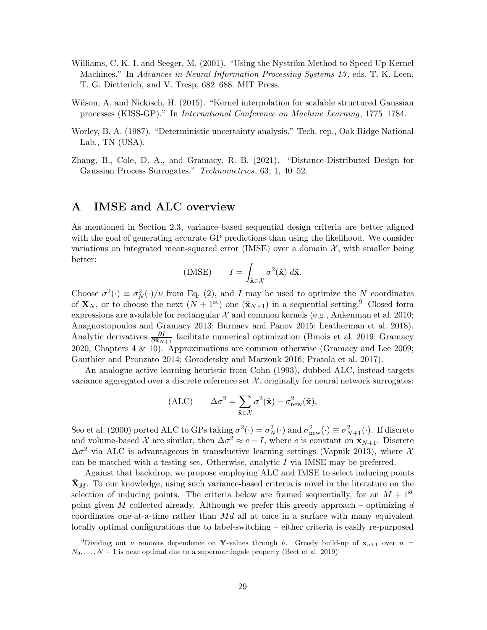- <span id="page-28-1"></span>Williams, C. K. I. and Seeger, M. (2001). "Using the Nyström Method to Speed Up Kernel Machines." In Advances in Neural Information Processing Systems 13, eds. T. K. Leen, T. G. Dietterich, and V. Tresp, 682–688. MIT Press.
- <span id="page-28-0"></span>Wilson, A. and Nickisch, H. (2015). "Kernel interpolation for scalable structured Gaussian processes (KISS-GP)." In International Conference on Machine Learning, 1775–1784.
- <span id="page-28-4"></span>Worley, B. A. (1987). "Deterministic uncertainty analysis." Tech. rep., Oak Ridge National Lab., TN (USA).
- <span id="page-28-3"></span>Zhang, B., Cole, D. A., and Gramacy, R. B. (2021). "Distance-Distributed Design for Gaussian Process Surrogates." Technometrics, 63, 1, 40–52.

### <span id="page-28-2"></span>A IMSE and ALC overview

As mentioned in Section [2.3,](#page-4-4) variance-based sequential design criteria are better aligned with the goal of generating accurate GP predictions than using the likelihood. We consider variations on integrated mean-squared error (IMSE) over a domain  $\mathcal{X}$ , with smaller being better:

$$
\text{(IMSE)} \qquad I = \int_{\tilde{\mathbf{x}} \in \mathcal{X}} \sigma^2(\tilde{\mathbf{x}}) \; d\tilde{\mathbf{x}}.
$$

Choose  $\sigma^2(\cdot) \equiv \sigma_N^2(\cdot)/\nu$  from Eq. [\(2\)](#page-3-1), and I may be used to optimize the N coordinates of  $\mathbf{X}_N$ , or to choose the next  $(N + 1<sup>st</sup>)$  one  $(\tilde{\mathbf{x}}_{N+1})$  in a sequential setting.<sup>[9](#page-28-5)</sup> Closed form expressions are available for rectangular  $\mathcal X$  and common kernels (e.g., [Ankenman et al. 2010;](#page-22-3) [Anagnostopoulos and Gramacy 2013;](#page-22-4) [Burnaev and Panov 2015;](#page-23-12) [Leatherman et al. 2018\)](#page-25-14). Analytic derivatives  $\frac{\partial I}{\partial \tilde{x}_{N+1}}$  facilitate numerical optimization [\(Binois et al. 2019;](#page-23-7) [Gramacy](#page-24-0) [2020,](#page-24-0) Chapters 4 & 10). Approximations are common otherwise [\(Gramacy and Lee 2009;](#page-24-11) [Gauthier and Pronzato 2014;](#page-24-12) [Gorodetsky and Marzouk 2016;](#page-24-13) [Pratola et al. 2017\)](#page-26-13).

An analogue active learning heuristic from [Cohn](#page-23-6) [\(1993\)](#page-23-6), dubbed ALC, instead targets variance aggregated over a discrete reference set  $X$ , originally for neural network surrogates:

$$
(ALC) \qquad \Delta \sigma^2 = \sum_{\tilde{\mathbf{x}} \in \mathcal{X}} \sigma^2(\tilde{\mathbf{x}}) - \sigma_{\text{new}}^2(\tilde{\mathbf{x}}),
$$

[Seo et al.](#page-26-14) [\(2000\)](#page-26-14) ported ALC to GPs taking  $\sigma^2(\cdot) = \sigma_N^2(\cdot)$  and  $\sigma_{\text{new}}^2(\cdot) \equiv \sigma_{N+1}^2(\cdot)$ . If discrete and volume-based X are similar, then  $\Delta \sigma^2 \approx c - I$ , where c is constant on  $\mathbf{x}_{N+1}$ . Discrete  $\Delta \sigma^2$  via ALC is advantageous in transductive learning settings [\(Vapnik 2013\)](#page-27-1), where X can be matched with a testing set. Otherwise, analytic I via IMSE may be preferred.

Against that backdrop, we propose employing ALC and IMSE to select inducing points  $\mathbf{X}_M$ . To our knowledge, using such variance-based criteria is novel in the literature on the selection of inducing points. The criteria below are framed sequentially, for an  $M + 1<sup>st</sup>$ point given M collected already. Although we prefer this greedy approach – optimizing d coordinates one-at-a-time rather than  $Md$  all at once in a surface with many equivalent locally optimal configurations due to label-switching – either criteria is easily re-purposed

<span id="page-28-5"></span><sup>&</sup>lt;sup>9</sup>Dividing out  $\nu$  removes dependence on **Y**-values through  $\hat{\nu}$ . Greedy build-up of  $\mathbf{x}_{n+1}$  over  $n =$  $N_0, \ldots, N-1$  is near optimal due to a supermartingale property [\(Bect et al. 2019\)](#page-23-13).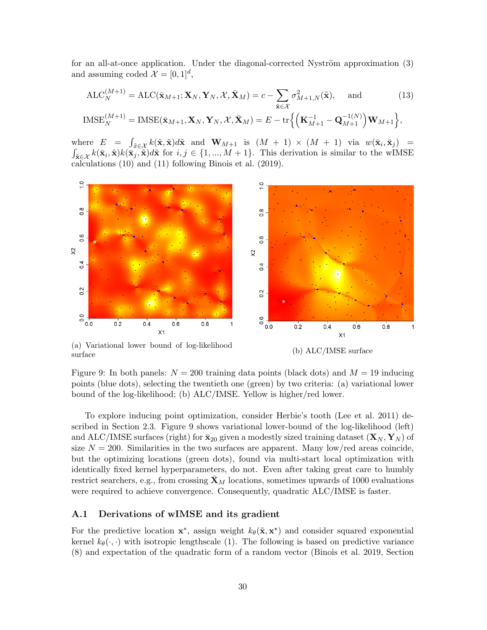for an all-at-once application. Under the diagonal-corrected Nyström approximation [\(3\)](#page-3-0) and assuming coded  $\mathcal{X} = [0, 1]^d$ ,

$$
ALC_N^{(M+1)} = ALC(\bar{\mathbf{x}}_{M+1}; \mathbf{X}_N, \mathbf{Y}_N, \mathcal{X}, \bar{\mathbf{X}}_M) = c - \sum_{\tilde{\mathbf{x}} \in \mathcal{X}} \sigma_{M+1,N}^2(\tilde{\mathbf{x}}), \text{ and } (13)
$$

$$
IMSE_N^{(M+1)} = IMSE(\bar{\mathbf{x}}_{M+1}, \mathbf{X}_N, \mathbf{Y}_N, \mathcal{X}, \bar{\mathbf{X}}_M) = E - \text{tr}\left\{ \left( \mathbf{K}_{M+1}^{-1} - \mathbf{Q}_{M+1}^{-1(N)} \right) \mathbf{W}_{M+1} \right\},
$$

where  $E = \int_{\tilde{x} \in \mathcal{X}} k(\tilde{x}, \tilde{x}) d\tilde{x}$  and  $\mathbf{W}_{M+1}$  is  $(M + 1) \times (M + 1)$  via  $w(\bar{x}_i, \bar{x}_j)$  =  $\int_{\tilde{\mathbf{x}} \in \mathcal{X}} k(\bar{\mathbf{x}}_i, \tilde{\mathbf{x}}) k(\bar{\mathbf{x}}_j, \tilde{\mathbf{x}}) d\tilde{\mathbf{x}}$  for  $i, j \in \{1, ..., M + 1\}$ . This derivation is similar to the wIMSE calculations [\(10\)](#page-8-0) and [\(11\)](#page-8-1) following [Binois et al.](#page-23-7) [\(2019\)](#page-23-7).

<span id="page-29-1"></span>

(a) Variational lower bound of log-likelihood (b) ALC/IMSE surface (b) COME SURFACE (b) ALC/IMSE surface

Figure 9: In both panels:  $N = 200$  training data points (black dots) and  $M = 19$  inducing points (blue dots), selecting the twentieth one (green) by two criteria: (a) variational lower bound of the log-likelihood; (b) ALC/IMSE. Yellow is higher/red lower.

To explore inducing point optimization, consider Herbie's tooth [\(Lee et al. 2011\)](#page-25-6) described in Section [2.3.](#page-4-4) Figure [9](#page-29-1) shows variational lower-bound of the log-likelihood (left) and ALC/IMSE surfaces (right) for  $\bar{\mathbf{x}}_{20}$  given a modestly sized training dataset  $(\mathbf{X}_N, \mathbf{Y}_N)$  of size  $N = 200$ . Similarities in the two surfaces are apparent. Many low/red areas coincide, but the optimizing locations (green dots), found via multi-start local optimization with identically fixed kernel hyperparameters, do not. Even after taking great care to humbly restrict searchers, e.g., from crossing  $\mathbf{X}_M$  locations, sometimes upwards of 1000 evaluations were required to achieve convergence. Consequently, quadratic ALC/IMSE is faster.

#### <span id="page-29-0"></span>A.1 Derivations of wIMSE and its gradient

For the predictive location  $x^*$ , assign weight  $k_\theta(\tilde{x}, x^*)$  and consider squared exponential kernel  $k_{\theta}(\cdot, \cdot)$  with isotropic lengthscale [\(1\)](#page-2-1). The following is based on predictive variance [\(8\)](#page-4-3) and expectation of the quadratic form of a random vector [\(Binois et al. 2019,](#page-23-7) Section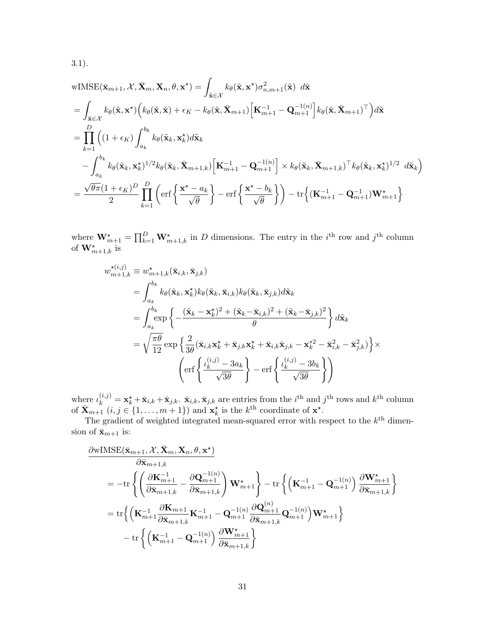3.1).

wIMSE(
$$
\bar{\mathbf{x}}_{m+1}
$$
,  $\mathcal{X}$ ,  $\bar{\mathbf{X}}_m$ ,  $\mathbf{X}_n$ ,  $\theta$ ,  $\mathbf{x}^*$ ) =  $\int_{\tilde{\mathbf{x}} \in \mathcal{X}} k_{\theta}(\tilde{\mathbf{x}}, \mathbf{x}^*) \sigma_{n,m+1}^2(\tilde{\mathbf{x}})$  d $\tilde{\mathbf{x}}$   
\n=  $\int_{\tilde{\mathbf{x}} \in \mathcal{X}} k_{\theta}(\tilde{\mathbf{x}}, \mathbf{x}^*) \Big(k_{\theta}(\tilde{\mathbf{x}}, \tilde{\mathbf{x}}) + \epsilon_K - k_{\theta}(\tilde{\mathbf{x}}, \bar{\mathbf{X}}_{m+1}) \Big[\mathbf{K}_{m+1}^{-1} - \mathbf{Q}_{m+1}^{-1} \Big] k_{\theta}(\tilde{\mathbf{x}}, \bar{\mathbf{X}}_{m+1})^\top \Big) d\tilde{\mathbf{x}}$   
\n=  $\prod_{k=1}^D \Big((1 + \epsilon_K) \int_{a_k}^{b_k} k_{\theta}(\tilde{\mathbf{x}}_k, \mathbf{x}_k^*) d\tilde{\mathbf{x}}_k$   
\n $- \int_{a_k}^{b_k} k_{\theta}(\tilde{\mathbf{x}}_k, \mathbf{x}_k^*)^{1/2} k_{\theta}(\tilde{\mathbf{x}}_k, \bar{\mathbf{X}}_{m+1,k}) \Big[\mathbf{K}_{m+1}^{-1} - \mathbf{Q}_{m+1}^{-1} \Big] \times k_{\theta}(\tilde{\mathbf{x}}_k, \bar{\mathbf{X}}_{m+1,k})^\top k_{\theta}(\tilde{\mathbf{x}}_k, \mathbf{x}_k^*)^{1/2} d\tilde{\mathbf{x}}_k \Big)$   
\n=  $\frac{\sqrt{\theta \pi}(1 + \epsilon_K)^D}{2} \prod_{k=1}^D \Big(\text{erf}\Big\{\frac{\mathbf{x}^* - a_k}{\sqrt{\theta}}\Big\} - \text{erf}\Big\{\frac{\mathbf{x}^* - b_k}{\sqrt{\theta}}\Big\}\Big) - \text{tr}\Big\{\big(\mathbf{K}_{m+1}^{-1} - \mathbf{Q}_{m+1}^{-1}\big)\mathbf{W}_{m+1}^*\Big\}$ 

where  $\mathbf{W}_{m+1}^{\star} = \prod_{k=1}^{D} \mathbf{W}_{m+1,k}^{\star}$  in D dimensions. The entry in the *i*<sup>th</sup> row and *j*<sup>th</sup> column of  $\mathbf{W}_{m+1,k}^{\star}$  is

$$
w_{m+1,k}^{\star(i,j)} \equiv w_{m+1,k}^{\star}(\bar{\mathbf{x}}_{i,k}, \bar{\mathbf{x}}_{j,k})
$$
  
\n
$$
= \int_{a_k}^{b_k} k_\theta(\tilde{\mathbf{x}}_k, \mathbf{x}_k^{\star}) k_\theta(\tilde{\mathbf{x}}_k, \bar{\mathbf{x}}_{i,k}) k_\theta(\tilde{\mathbf{x}}_k, \bar{\mathbf{x}}_{j,k}) d\tilde{\mathbf{x}}_k
$$
  
\n
$$
= \int_{a_k}^{b_k} \exp\left\{-\frac{(\tilde{\mathbf{x}}_k - \mathbf{x}_k^{\star})^2 + (\tilde{\mathbf{x}}_k - \bar{\mathbf{x}}_{i,k})^2 + (\tilde{\mathbf{x}}_k - \bar{\mathbf{x}}_{j,k})^2}{\theta}\right\} d\tilde{\mathbf{x}}_k
$$
  
\n
$$
= \sqrt{\frac{\pi \theta}{12}} \exp\left\{\frac{2}{3\theta}(\bar{\mathbf{x}}_{i,k} \mathbf{x}_k^{\star} + \bar{\mathbf{x}}_{j,k} \mathbf{x}_k^{\star} + \bar{\mathbf{x}}_{i,k} \bar{\mathbf{x}}_{j,k} - \mathbf{x}_k^{*2} - \bar{\mathbf{x}}_{i,k}^2 - \bar{\mathbf{x}}_{j,k}^2)\right\} \times
$$
  
\n
$$
\left(\text{erf}\left\{\frac{\iota_k^{(i,j)} - 3a_k}{\sqrt{3\theta}}\right\} - \text{erf}\left\{\frac{\iota_k^{(i,j)} - 3b_k}{\sqrt{3\theta}}\right\}\right)
$$

where  $\iota_k^{(i,j)} = \mathbf{x}_k^{\star} + \bar{\mathbf{x}}_{i,k} + \bar{\mathbf{x}}_{j,k}$ .  $\bar{\mathbf{x}}_{i,k}, \bar{\mathbf{x}}_{j,k}$  are entries from the  $i^{\text{th}}$  and  $j^{\text{th}}$  rows and  $k^{\text{th}}$  column of  $\bar{\mathbf{X}}_{m+1}$   $(i, j \in \{1, ..., m+1\})$  and  $\mathbf{x}_{k}^{\star}$  is the  $k^{\text{th}}$  coordinate of  $\mathbf{x}^{\star}$ .

The gradient of weighted integrated mean-squared error with respect to the  $k<sup>th</sup>$  dimension of  $\bar{\mathbf{x}}_{m+1}$  is:

$$
\label{eq:20} \begin{split} &\frac{\partial \textbf{wIMSE}(\bar{\mathbf{x}}_{m+1}, \mathcal{X}, \bar{\mathbf{X}}_{m}, \mathbf{X}_{n}, \theta, \mathbf{x}^{\star})}{\partial \bar{\mathbf{x}}_{m+1,k}} \\ & = -\text{tr}\left\{\left(\frac{\partial \mathbf{K}_{m+1}^{-1}}{\partial \bar{\mathbf{x}}_{m+1,k}} - \frac{\partial \mathbf{Q}_{m+1}^{-1(n)}}{\partial \bar{\mathbf{x}}_{m+1,k}}\right) \mathbf{W}_{m+1}^{\star}\right\} - \text{tr}\left\{\left(\mathbf{K}_{m+1}^{-1} - \mathbf{Q}_{m+1}^{-1(n)}\right) \frac{\partial \mathbf{W}_{m+1}^{\star}}{\partial \bar{\mathbf{x}}_{m+1,k}}\right\} \\ & = \text{tr}\Big\{\left(\mathbf{K}_{m+1}^{-1} \frac{\partial \mathbf{K}_{m+1}}{\partial \bar{\mathbf{x}}_{m+1,k}} \mathbf{K}_{m+1}^{-1} - \mathbf{Q}_{m+1}^{-1(n)} \frac{\partial \mathbf{Q}_{m+1}^{(n)}}{\partial \bar{\mathbf{x}}_{m+1,k}} \mathbf{Q}_{m+1}^{-1(n)}\right) \mathbf{W}_{m+1}^{\star}\big\} \\ & - \text{tr}\left\{\left(\mathbf{K}_{m+1}^{-1} - \mathbf{Q}_{m+1}^{-1(n)}\right) \frac{\partial \mathbf{W}_{m+1}^{\star}}{\partial \bar{\mathbf{x}}_{m+1,k}}\right\} \end{split}
$$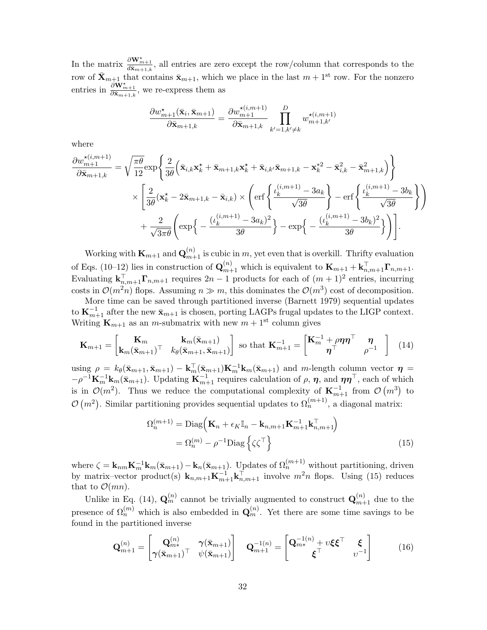In the matrix  $\frac{\partial \mathbf{W}_{m+1}^*}{\partial \bar{\mathbf{x}}_{m+1,k}}$ , all entries are zero except the row/column that corresponds to the row of  $\bar{\mathbf{X}}_{m+1}$  that contains  $\bar{\mathbf{x}}_{m+1}$ , which we place in the last  $m + 1$ <sup>st</sup> row. For the nonzero entries in  $\frac{\partial \mathbf{W}_{m+1}^*}{\partial \bar{\mathbf{x}}_{m+1,k}}$ , we re-express them as

$$
\frac{\partial w_{m+1}^{\star}(\bar{\mathbf{x}}_i, \bar{\mathbf{x}}_{m+1})}{\partial \bar{\mathbf{x}}_{m+1,k}} = \frac{\partial w_{m+1}^{\star(i,m+1)}}{\partial \bar{\mathbf{x}}_{m+1,k}} \prod_{k'=1,k'\neq k}^D w_{m+1,k'}^{\star(i,m+1)}
$$

where

$$
\frac{\partial w_{m+1}^{\star(i,m+1)}}{\partial \bar{\mathbf{x}}_{m+1,k}} = \sqrt{\frac{\pi \theta}{12}} \exp\left\{\frac{2}{3\theta} \Big(\bar{\mathbf{x}}_{i,k} \mathbf{x}_k^{\star} + \bar{\mathbf{x}}_{m+1,k} \mathbf{x}_k^{\star} + \bar{\mathbf{x}}_{i,k'} \bar{\mathbf{x}}_{m+1,k} - \mathbf{x}_k^{*2} - \bar{\mathbf{x}}_{i,k}^2 - \bar{\mathbf{x}}_{m+1,k}^2\Big)\right\} \times \left[\frac{2}{3\theta} (\mathbf{x}_k^{\star} - 2\bar{\mathbf{x}}_{m+1,k} - \bar{\mathbf{x}}_{i,k}) \times \left( \text{erf}\left\{\frac{\iota_k^{(i,m+1)} - 3a_k}{\sqrt{3\theta}} \right\} - \text{erf}\left\{\frac{\iota_k^{(i,m+1)} - 3b_k}{\sqrt{3\theta}} \right\} \right) \right] \left. + \frac{2}{\sqrt{3\pi\theta}} \left( \exp\left\{-\frac{(\iota_k^{(i,m+1)} - 3a_k)^2}{3\theta} \right\} - \exp\left\{-\frac{(\iota_k^{(i,m+1)} - 3b_k)^2}{3\theta} \right\} \right) \right].
$$

Working with  $\mathbf{K}_{m+1}$  and  $\mathbf{Q}_{m+1}^{(n)}$  is cubic in m, yet even that is overkill. Thrifty evaluation of Eqs. [\(10–](#page-8-0)[12\)](#page-9-1) lies in construction of  $\mathbf{Q}_{m+1}^{(n)}$  which is equivalent to  $\mathbf{K}_{m+1} + \mathbf{k}_{n,m+1}^{\top} \mathbf{\Gamma}_{n,m+1}$ . Evaluating  $\mathbf{k}_{n,m+1}^{\top} \mathbf{\Gamma}_{n,m+1}$  requires  $2n-1$  products for each of  $(m+1)^2$  entries, incurring costs in  $\mathcal{O}(m^2n)$  flops. Assuming  $n \gg m$ , this dominates the  $\mathcal{O}(m^3)$  cost of decomposition.

More time can be saved through partitioned inverse [\(Barnett 1979\)](#page-22-2) sequential updates to  $\mathbf{K}_{m+1}^{-1}$  after the new  $\bar{\mathbf{x}}_{m+1}$  is chosen, porting LAGPs frugal updates to the LIGP context. Writing  $\mathbf{K}_{m+1}$  as an *m*-submatrix with new  $m+1$ <sup>st</sup> column gives

$$
\mathbf{K}_{m+1} = \begin{bmatrix} \mathbf{K}_m & \mathbf{k}_m(\bar{\mathbf{x}}_{m+1}) \\ \mathbf{k}_m(\bar{\mathbf{x}}_{m+1})^\top & k_\theta(\bar{\mathbf{x}}_{m+1}, \bar{\mathbf{x}}_{m+1}) \end{bmatrix} \text{ so that } \mathbf{K}_{m+1}^{-1} = \begin{bmatrix} \mathbf{K}_m^{-1} + \rho \boldsymbol{\eta} \boldsymbol{\eta}^\top & \boldsymbol{\eta} \\ \boldsymbol{\eta}^\top & \rho^{-1} \end{bmatrix} \tag{14}
$$

using  $\rho = k_{\theta}(\bar{\mathbf{x}}_{m+1}, \bar{\mathbf{x}}_{m+1}) - \mathbf{k}_{m}^{\top}(\bar{\mathbf{x}}_{m+1})\mathbf{K}_{m}^{-1}\mathbf{k}_{m}(\bar{\mathbf{x}}_{m+1})$  and m-length column vector  $\boldsymbol{\eta} =$  $-\rho^{-1}\mathbf{K}_{m}^{-1}\mathbf{k}_{m}(\bar{\mathbf{x}}_{m+1})$ . Updating  $\mathbf{K}_{m+1}^{-1}$  requires calculation of  $\rho$ ,  $\boldsymbol{\eta}$ , and  $\boldsymbol{\eta}\boldsymbol{\eta}^{\top}$ , each of which is in  $\mathcal{O}(m^2)$ . Thus we reduce the computational complexity of  $\mathbf{K}_{m+1}^{-1}$  from  $\mathcal{O}(m^3)$  to  $\mathcal{O}(m^2)$ . Similar partitioning provides sequential updates to  $\Omega_n^{(m+1)}$ , a diagonal matrix:

<span id="page-31-1"></span><span id="page-31-0"></span>
$$
\Omega_n^{(m+1)} = \text{Diag}\left(\mathbf{K}_n + \epsilon_K \mathbb{I}_n - \mathbf{k}_{n,m+1}\mathbf{K}_{m+1}^{-1}\mathbf{k}_{n,m+1}^\top\right)
$$

$$
= \Omega_n^{(m)} - \rho^{-1}\text{Diag}\left\{\zeta\zeta^\top\right\}
$$
(15)

where  $\zeta = \mathbf{k}_{nm} \mathbf{K}_m^{-1} \mathbf{k}_m(\bar{\mathbf{x}}_{m+1}) - \mathbf{k}_n(\bar{\mathbf{x}}_{m+1})$ . Updates of  $\Omega_n^{(m+1)}$  without partitioning, driven by matrix–vector product(s)  $\mathbf{k}_{n,m+1}\mathbf{K}_{m+1}^{-1}\mathbf{k}_{n,m+1}^{\top}$  involve  $m^2n$  flops. Using [\(15\)](#page-31-0) reduces that to  $\mathcal{O}(mn)$ .

Unlike in Eq. [\(14\)](#page-31-1),  $\mathbf{Q}_m^{(n)}$  cannot be trivially augmented to construct  $\mathbf{Q}_{m+1}^{(n)}$  due to the presence of  $\Omega_n^{(m)}$  which is also embedded in  $\mathbf{Q}_m^{(n)}$ . Yet there are some time savings to be found in the partitioned inverse

$$
\mathbf{Q}_{m+1}^{(n)} = \begin{bmatrix} \mathbf{Q}_{m*}^{(n)} & \gamma(\bar{\mathbf{x}}_{m+1}) \\ \gamma(\bar{\mathbf{x}}_{m+1})^\top & \psi(\bar{\mathbf{x}}_{m+1}) \end{bmatrix} \quad \mathbf{Q}_{m+1}^{-1(n)} = \begin{bmatrix} \mathbf{Q}_{m*}^{-1(n)} + v\xi\xi^\top & \xi \\ \xi^\top & v^{-1} \end{bmatrix} \tag{16}
$$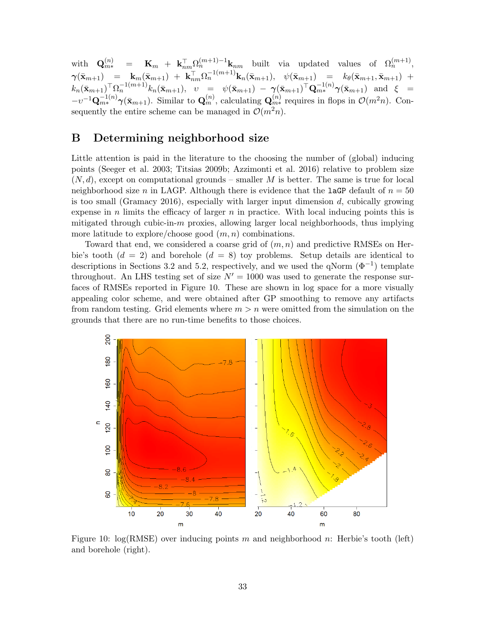$\mathbf{Q}_{m*}^{(n)} = \mathbf{K}_m + \mathbf{k}_{nm}^\top \Omega_n^{(m+1)-1} \mathbf{k}_{nm}$  built via updated values of  $\Omega_n^{(m+1)}$ ,  $\begin{array}{rclcrcl} \bm{\gamma}(\bar{\mathbf{x}}_{m+1}) & = & \mathbf{k}_m(\bar{\mathbf{x}}_{m+1}) \; + \; \mathbf{k}_{nm}^\top \Omega_n^{-1(m+1)} \mathbf{k}_n(\bar{\mathbf{x}}_{m+1}), & \psi(\bar{\mathbf{x}}_{m+1}) & = & k_\theta(\bar{\mathbf{x}}_{m+1},\bar{\mathbf{x}}_{m+1}) \; + \end{array}$  $k_n(\bar{{\bf x}}_{m+1})^\top \Omega_n^{-1(m+1)} k_n(\bar{{\bf x}}_{m+1}),$   $v = \psi(\bar{{\bf x}}_{m+1}) - \gamma(\bar{{\bf x}}_{m+1})^\top \mathbf{Q}_{m*}^{-1(n)} \gamma(\bar{{\bf x}}_{m+1})$  and  $\xi =$  $-v^{-1}\mathbf{Q}_{m*}^{-1(n)}\gamma(\bar{\mathbf{x}}_{m+1})$ . Similar to  $\mathbf{Q}_{m}^{(n)}$ , calculating  $\mathbf{Q}_{m*}^{(n)}$  requires in flops in  $\mathcal{O}(m^2n)$ . Consequently the entire scheme can be managed in  $\mathcal{O}(m^2n)$ .

### <span id="page-32-0"></span>B Determining neighborhood size

Little attention is paid in the literature to the choosing the number of (global) inducing points [\(Seeger et al. 2003;](#page-26-8) [Titsias 2009b;](#page-27-9) [Azzimonti et al. 2016\)](#page-22-5) relative to problem size  $(N, d)$ , except on computational grounds – smaller M is better. The same is true for local neighborhood size n in LAGP. Although there is evidence that the **laGP** default of  $n = 50$ is too small [\(Gramacy 2016\)](#page-24-8), especially with larger input dimension  $d$ , cubically growing expense in n limits the efficacy of larger  $n$  in practice. With local inducing points this is mitigated through cubic-in-m proxies, allowing larger local neighborhoods, thus implying more latitude to explore/choose good  $(m, n)$  combinations.

Toward that end, we considered a coarse grid of  $(m, n)$  and predictive RMSEs on Herbie's tooth  $(d = 2)$  and borehole  $(d = 8)$  toy problems. Setup details are identical to descriptions in Sections [3.2](#page-9-0) and [5.2,](#page-17-0) respectively, and we used the qNorm  $(\Phi^{-1})$  template throughout. An LHS testing set of size  $N' = 1000$  was used to generate the response surfaces of RMSEs reported in Figure [10.](#page-32-1) These are shown in log space for a more visually appealing color scheme, and were obtained after GP smoothing to remove any artifacts from random testing. Grid elements where  $m > n$  were omitted from the simulation on the grounds that there are no run-time benefits to those choices.

<span id="page-32-1"></span>

Figure 10:  $log(RMSE)$  over inducing points m and neighborhood n: Herbie's tooth (left) and borehole (right).